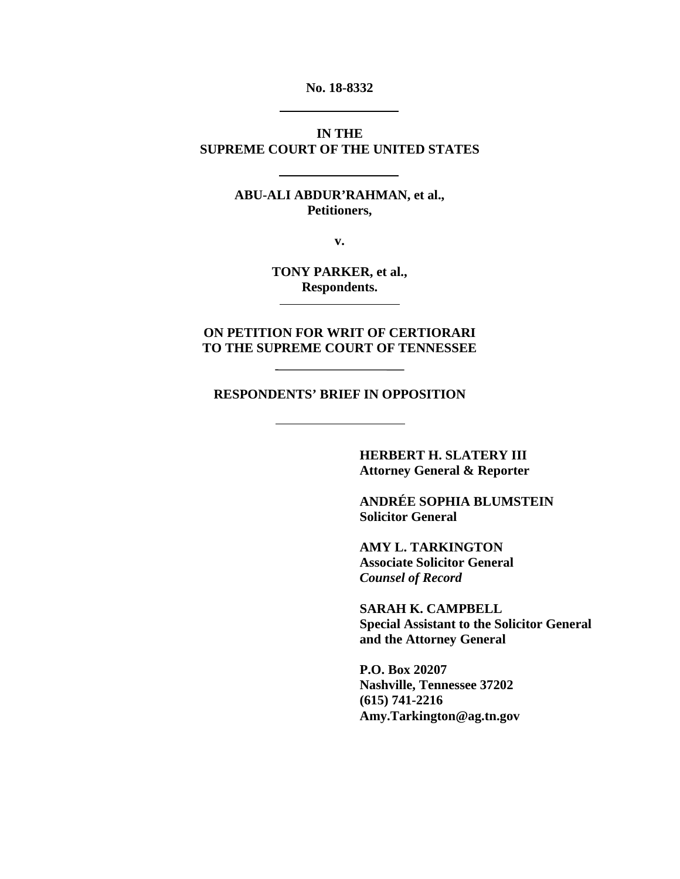**No. 18-8332**

### **IN THE SUPREME COURT OF THE UNITED STATES**

### **ABU-ALI ABDUR'RAHMAN, et al., Petitioners,**

**v.**

**TONY PARKER, et al., Respondents.**

**ON PETITION FOR WRIT OF CERTIORARI TO THE SUPREME COURT OF TENNESSEE**

**RESPONDENTS' BRIEF IN OPPOSITION**

**HERBERT H. SLATERY III Attorney General & Reporter**

**ANDRÉE SOPHIA BLUMSTEIN Solicitor General**

**AMY L. TARKINGTON Associate Solicitor General** *Counsel of Record* 

**SARAH K. CAMPBELL Special Assistant to the Solicitor General and the Attorney General**

**P.O. Box 20207 Nashville, Tennessee 37202 (615) 741-2216 Amy.Tarkington@ag.tn.gov**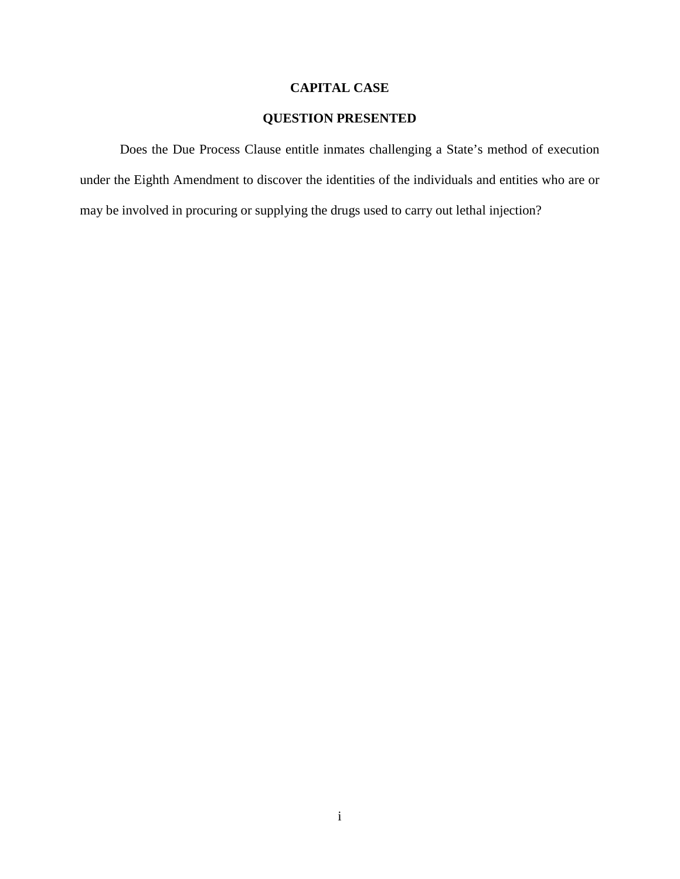# **CAPITAL CASE**

# **QUESTION PRESENTED**

<span id="page-1-0"></span>Does the Due Process Clause entitle inmates challenging a State's method of execution under the Eighth Amendment to discover the identities of the individuals and entities who are or may be involved in procuring or supplying the drugs used to carry out lethal injection?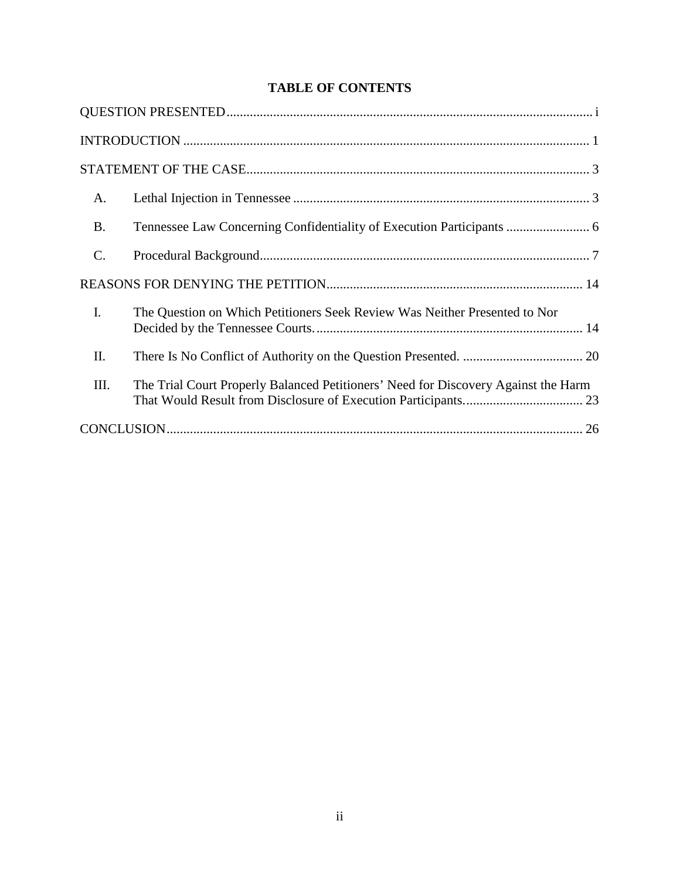# **TABLE OF CONTENTS**

| A.               |                                                                                    |  |  |  |  |
|------------------|------------------------------------------------------------------------------------|--|--|--|--|
| <b>B.</b>        | Tennessee Law Concerning Confidentiality of Execution Participants  6              |  |  |  |  |
| $\mathcal{C}$ .  |                                                                                    |  |  |  |  |
|                  |                                                                                    |  |  |  |  |
| $\overline{I}$ . | The Question on Which Petitioners Seek Review Was Neither Presented to Nor         |  |  |  |  |
| II.              |                                                                                    |  |  |  |  |
| III.             | The Trial Court Properly Balanced Petitioners' Need for Discovery Against the Harm |  |  |  |  |
|                  |                                                                                    |  |  |  |  |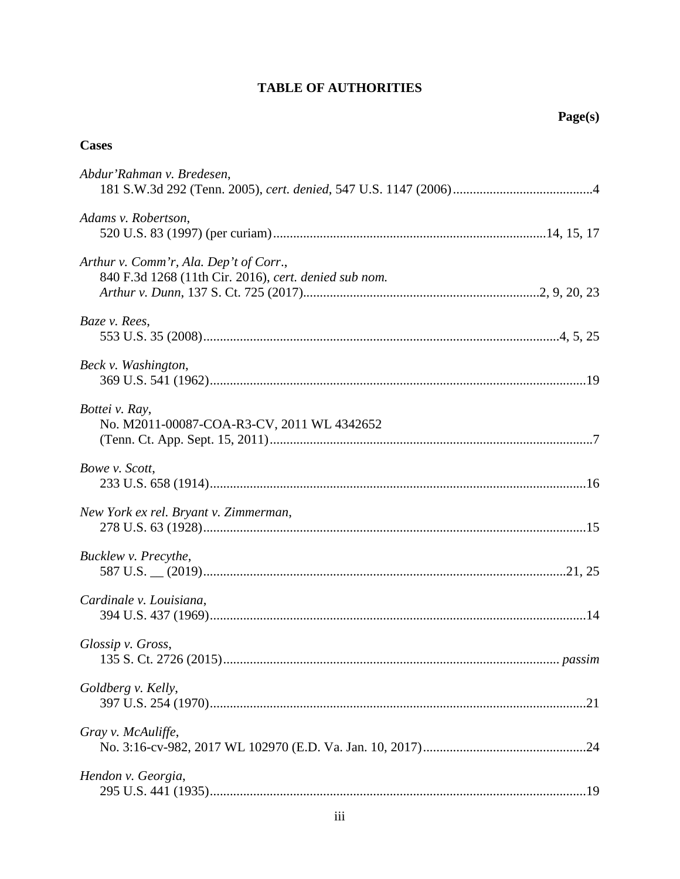# **TABLE OF AUTHORITIES**

# **Cases**

| Abdur'Rahman v. Bredesen,                                                                       |
|-------------------------------------------------------------------------------------------------|
| Adams v. Robertson,                                                                             |
| Arthur v. Comm'r, Ala. Dep't of Corr.,<br>840 F.3d 1268 (11th Cir. 2016), cert. denied sub nom. |
| Baze v. Rees,                                                                                   |
| Beck v. Washington,                                                                             |
| Bottei v. Ray,<br>No. M2011-00087-COA-R3-CV, 2011 WL 4342652                                    |
| Bowe v. Scott,                                                                                  |
| New York ex rel. Bryant v. Zimmerman,                                                           |
| Bucklew v. Precythe,                                                                            |
| Cardinale v. Louisiana,                                                                         |
| Glossip v. Gross,                                                                               |
| Goldberg v. Kelly,                                                                              |
| Gray v. McAuliffe,                                                                              |
| Hendon v. Georgia,                                                                              |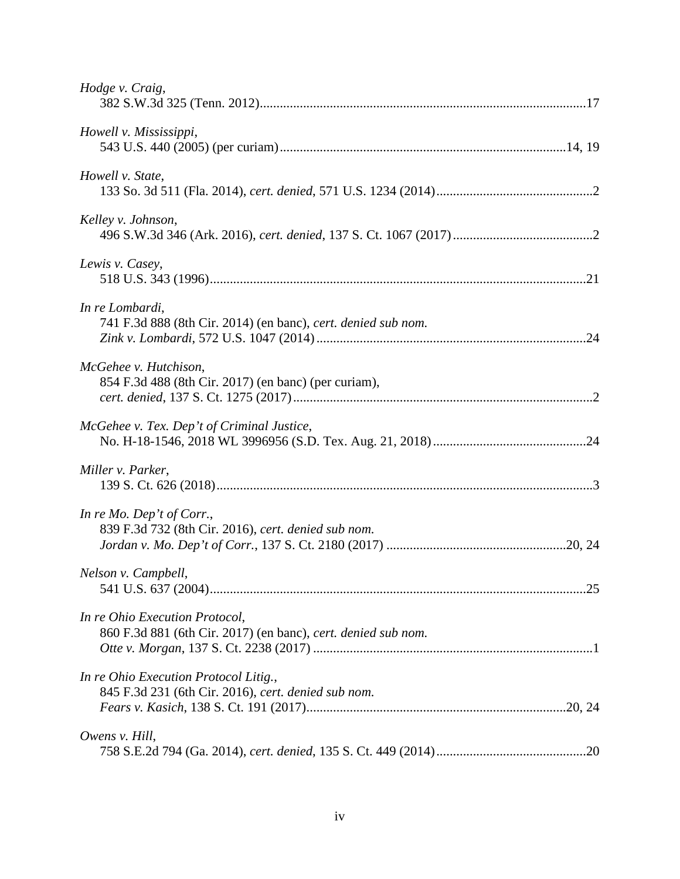| Hodge v. Craig,                                                                                 |  |
|-------------------------------------------------------------------------------------------------|--|
| Howell v. Mississippi,                                                                          |  |
| Howell v. State,                                                                                |  |
| Kelley v. Johnson,                                                                              |  |
| Lewis v. Casey,                                                                                 |  |
| In re Lombardi,<br>741 F.3d 888 (8th Cir. 2014) (en banc), cert. denied sub nom.                |  |
| McGehee v. Hutchison,<br>854 F.3d 488 (8th Cir. 2017) (en banc) (per curiam),                   |  |
| McGehee v. Tex. Dep't of Criminal Justice,                                                      |  |
| Miller v. Parker,                                                                               |  |
| In re Mo. Dep't of Corr.,<br>839 F.3d 732 (8th Cir. 2016), cert. denied sub nom.                |  |
| Nelson v. Campbell,                                                                             |  |
| In re Ohio Execution Protocol,<br>860 F.3d 881 (6th Cir. 2017) (en banc), cert. denied sub nom. |  |
| In re Ohio Execution Protocol Litig.,<br>845 F.3d 231 (6th Cir. 2016), cert. denied sub nom.    |  |
| Owens v. Hill,                                                                                  |  |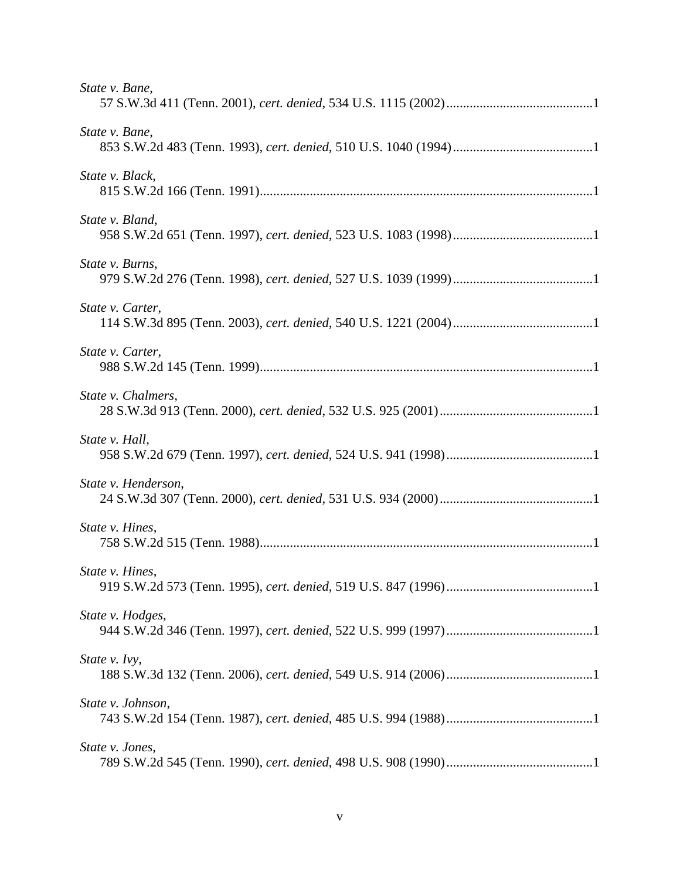| State v. Bane,      |
|---------------------|
| State v. Bane,      |
| State v. Black,     |
| State v. Bland,     |
| State v. Burns,     |
| State v. Carter,    |
| State v. Carter,    |
| State v. Chalmers,  |
| State v. Hall,      |
| State v. Henderson, |
| State v. Hines,     |
| State v. Hines,     |
| State v. Hodges,    |
| State v. Ivy,       |
| State v. Johnson,   |
| State v. Jones,     |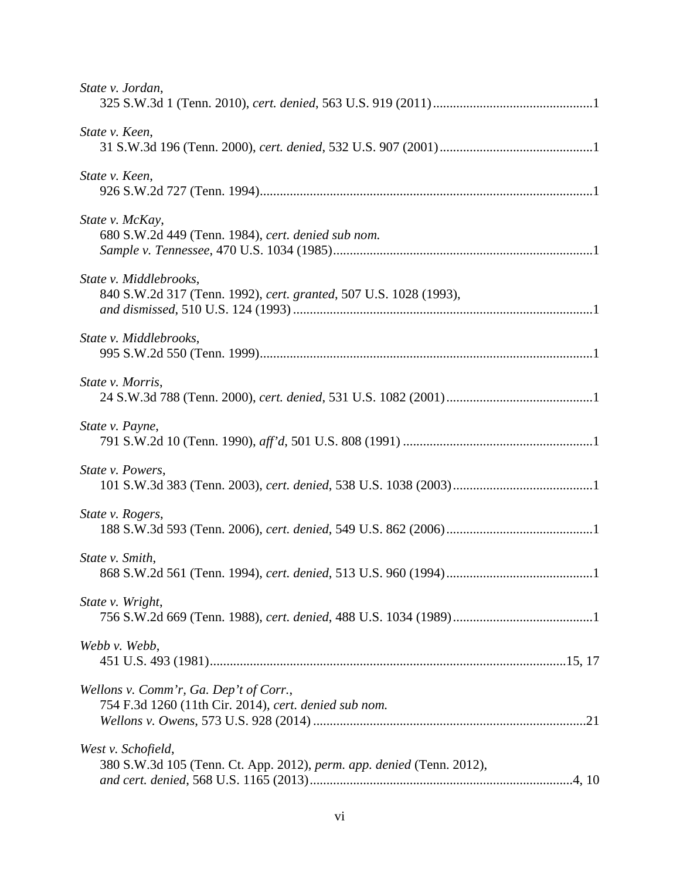| State v. Jordan,                                                                                |
|-------------------------------------------------------------------------------------------------|
| State v. Keen,                                                                                  |
| State v. Keen,                                                                                  |
| State v. McKay,<br>680 S.W.2d 449 (Tenn. 1984), cert. denied sub nom.                           |
| State v. Middlebrooks,<br>840 S.W.2d 317 (Tenn. 1992), cert. granted, 507 U.S. 1028 (1993),     |
| State v. Middlebrooks,                                                                          |
| State v. Morris,                                                                                |
| State v. Payne,                                                                                 |
| State v. Powers,                                                                                |
| State v. Rogers,                                                                                |
| State v. Smith,                                                                                 |
| State v. Wright,                                                                                |
| Webb v. Webb,                                                                                   |
| Wellons v. Comm'r, Ga. Dep't of Corr.,<br>754 F.3d 1260 (11th Cir. 2014), cert. denied sub nom. |
| West v. Schofield,<br>380 S.W.3d 105 (Tenn. Ct. App. 2012), perm. app. denied (Tenn. 2012),     |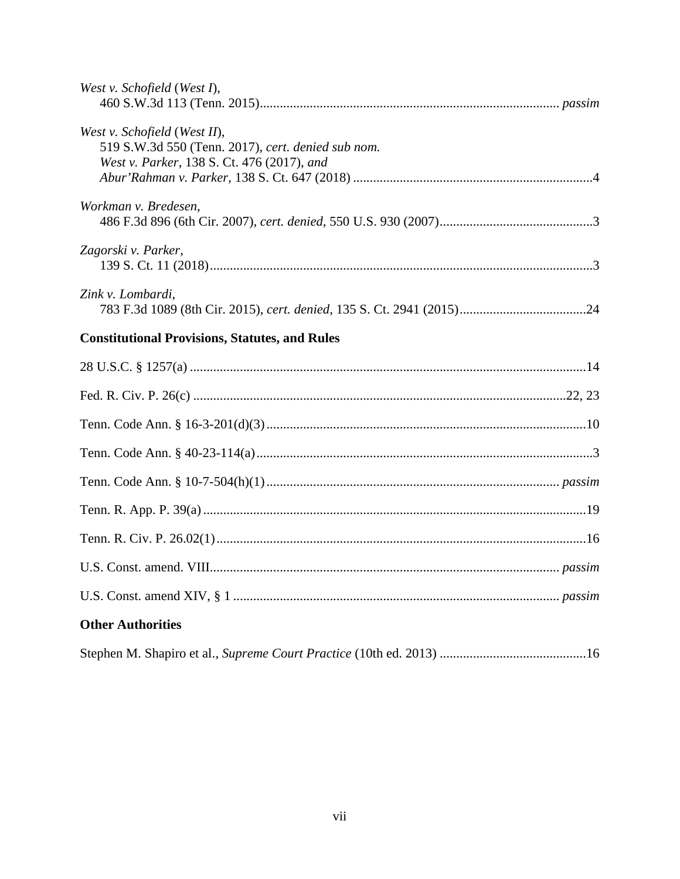| West v. Schofield (West I),                                                                                                      |
|----------------------------------------------------------------------------------------------------------------------------------|
| West v. Schofield (West II),<br>519 S.W.3d 550 (Tenn. 2017), cert. denied sub nom.<br>West v. Parker, 138 S. Ct. 476 (2017), and |
| Workman v. Bredesen,                                                                                                             |
| Zagorski v. Parker,                                                                                                              |
| Zink v. Lombardi,                                                                                                                |
| <b>Constitutional Provisions, Statutes, and Rules</b>                                                                            |
|                                                                                                                                  |
|                                                                                                                                  |
|                                                                                                                                  |
|                                                                                                                                  |
|                                                                                                                                  |
|                                                                                                                                  |
|                                                                                                                                  |
|                                                                                                                                  |
|                                                                                                                                  |
| <b>Other Authorities</b>                                                                                                         |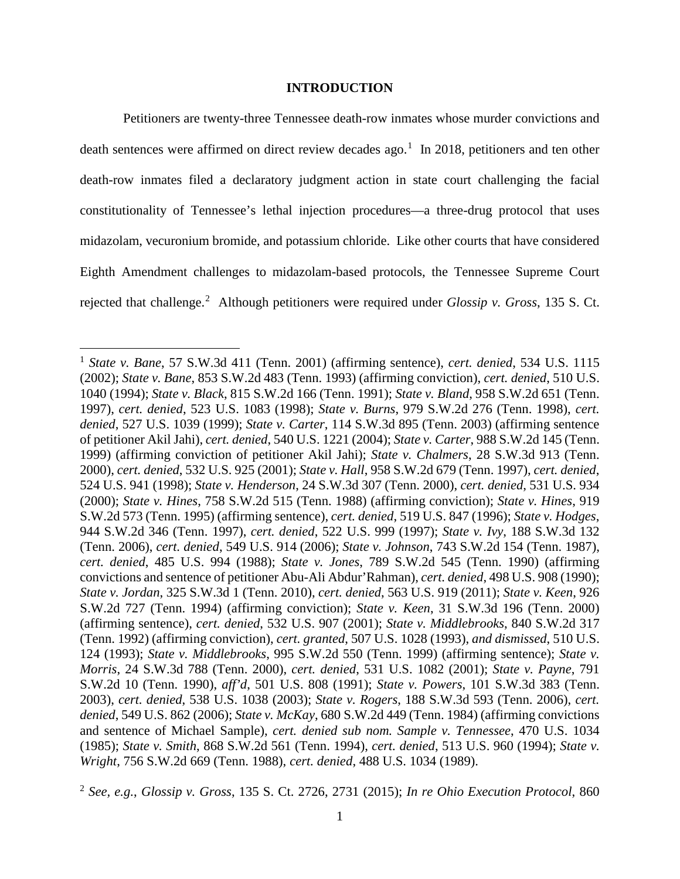#### **INTRODUCTION**

<span id="page-8-0"></span>Petitioners are twenty-three Tennessee death-row inmates whose murder convictions and death sentences were affirmed on direct review decades ago.<sup>[1](#page-8-32)</sup> In 2018, petitioners and ten other death-row inmates filed a declaratory judgment action in state court challenging the facial constitutionality of Tennessee's lethal injection procedures—a three-drug protocol that uses midazolam, vecuronium bromide, and potassium chloride. Like other courts that have considered Eighth Amendment challenges to midazolam-based protocols, the Tennessee Supreme Court rejected that challenge.<sup>[2](#page-8-33)</sup> Although petitioners were required under *Glossip v. Gross*, 135 S. Ct.

<span id="page-8-32"></span><span id="page-8-31"></span><span id="page-8-18"></span><span id="page-8-17"></span><span id="page-8-16"></span><span id="page-8-15"></span><span id="page-8-14"></span><span id="page-8-13"></span><span id="page-8-12"></span><span id="page-8-11"></span><span id="page-8-10"></span><span id="page-8-9"></span><span id="page-8-8"></span><span id="page-8-7"></span><span id="page-8-6"></span><span id="page-8-5"></span><span id="page-8-4"></span><span id="page-8-3"></span><sup>1</sup> *State v. Bane*, 57 S.W.3d 411 (Tenn. 2001) (affirming sentence), *cert. denied*, 534 U.S. 1115 (2002); *State v. Bane*, 853 S.W.2d 483 (Tenn. 1993) (affirming conviction), *cert. denied*, 510 U.S. 1040 (1994); *State v. Black*, 815 S.W.2d 166 (Tenn. 1991); *State v. Bland*, 958 S.W.2d 651 (Tenn. 1997), *cert. denied*, 523 U.S. 1083 (1998); *State v. Burns*, 979 S.W.2d 276 (Tenn. 1998), *cert. denied*, 527 U.S. 1039 (1999); *State v. Carter*, 114 S.W.3d 895 (Tenn. 2003) (affirming sentence of petitioner Akil Jahi), *cert. denied*, 540 U.S. 1221 (2004); *State v. Carter*, 988 S.W.2d 145 (Tenn. 1999) (affirming conviction of petitioner Akil Jahi); *State v. Chalmers*, 28 S.W.3d 913 (Tenn. 2000), *cert. denied*, 532 U.S. 925 (2001); *State v. Hall*, 958 S.W.2d 679 (Tenn. 1997), *cert. denied*, 524 U.S. 941 (1998); *State v. Henderson*, 24 S.W.3d 307 (Tenn. 2000), *cert. denied*, 531 U.S. 934 (2000); *State v. Hines*, 758 S.W.2d 515 (Tenn. 1988) (affirming conviction); *State v. Hines*, 919 S.W.2d 573 (Tenn. 1995) (affirming sentence), *cert. denied*, 519 U.S. 847 (1996); *State v. Hodges*, 944 S.W.2d 346 (Tenn. 1997), *cert. denied*, 522 U.S. 999 (1997); *State v. Ivy*, 188 S.W.3d 132 (Tenn. 2006), *cert. denied*, 549 U.S. 914 (2006); *State v. Johnson*, 743 S.W.2d 154 (Tenn. 1987), *cert. denied*, 485 U.S. 994 (1988); *State v. Jones*, 789 S.W.2d 545 (Tenn. 1990) (affirming convictions and sentence of petitioner Abu-Ali Abdur'Rahman), *cert. denied*, 498 U.S. 908 (1990); *State v. Jordan*, 325 S.W.3d 1 (Tenn. 2010), *cert. denied*, 563 U.S. 919 (2011); *State v. Keen*, 926 S.W.2d 727 (Tenn. 1994) (affirming conviction); *State v. Keen*, 31 S.W.3d 196 (Tenn. 2000) (affirming sentence), *cert. denied*, 532 U.S. 907 (2001); *State v. Middlebrooks*, 840 S.W.2d 317 (Tenn. 1992) (affirming conviction), *cert. granted*, 507 U.S. 1028 (1993), *and dismissed*, 510 U.S. 124 (1993); *State v. Middlebrooks*, 995 S.W.2d 550 (Tenn. 1999) (affirming sentence); *State v. Morris*, 24 S.W.3d 788 (Tenn. 2000), *cert. denied*, 531 U.S. 1082 (2001); *State v. Payne*, 791 S.W.2d 10 (Tenn. 1990), *aff'd*, 501 U.S. 808 (1991); *State v. Powers*, 101 S.W.3d 383 (Tenn. 2003), *cert. denied*, 538 U.S. 1038 (2003); *State v. Rogers*, 188 S.W.3d 593 (Tenn. 2006), *cert. denied*, 549 U.S. 862 (2006); *State v. McKay*, 680 S.W.2d 449 (Tenn. 1984) (affirming convictions and sentence of Michael Sample), *cert. denied sub nom. Sample v. Tennessee*, 470 U.S. 1034 (1985); *State v. Smith*, 868 S.W.2d 561 (Tenn. 1994), *cert. denied*, 513 U.S. 960 (1994); *State v. Wright*, 756 S.W.2d 669 (Tenn. 1988), *cert. denied*, 488 U.S. 1034 (1989).

<span id="page-8-33"></span><span id="page-8-30"></span><span id="page-8-29"></span><span id="page-8-28"></span><span id="page-8-27"></span><span id="page-8-26"></span><span id="page-8-25"></span><span id="page-8-24"></span><span id="page-8-23"></span><span id="page-8-22"></span><span id="page-8-21"></span><span id="page-8-20"></span><span id="page-8-19"></span><span id="page-8-2"></span><span id="page-8-1"></span><sup>2</sup> *See, e.g.*, *Glossip v. Gross*, 135 S. Ct. 2726, 2731 (2015); *In re Ohio Execution Protocol*, 860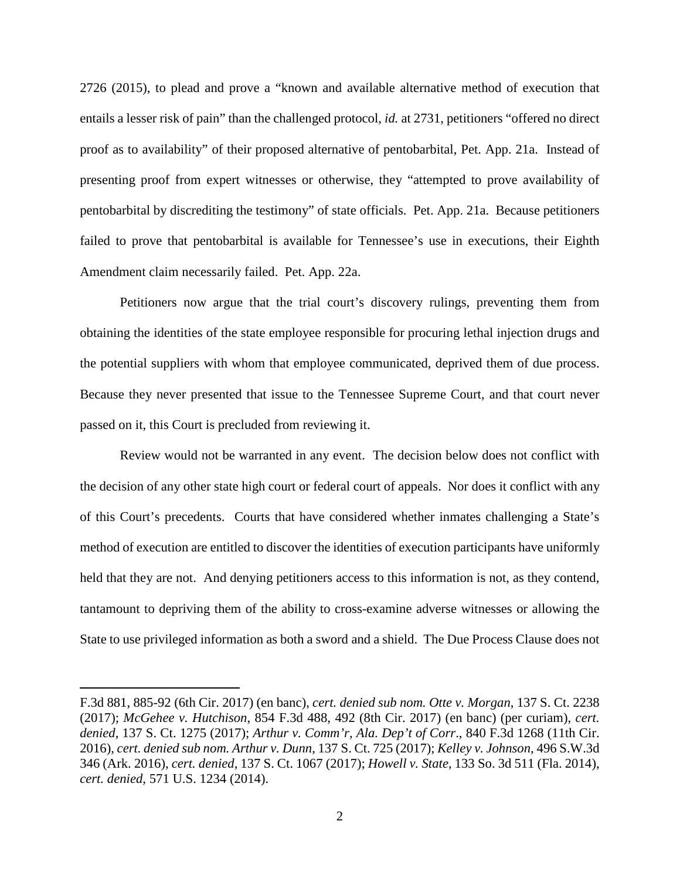2726 (2015), to plead and prove a "known and available alternative method of execution that entails a lesser risk of pain" than the challenged protocol, *id.* at 2731, petitioners "offered no direct proof as to availability" of their proposed alternative of pentobarbital, Pet. App. 21a. Instead of presenting proof from expert witnesses or otherwise, they "attempted to prove availability of pentobarbital by discrediting the testimony" of state officials. Pet. App. 21a. Because petitioners failed to prove that pentobarbital is available for Tennessee's use in executions, their Eighth Amendment claim necessarily failed. Pet. App. 22a.

Petitioners now argue that the trial court's discovery rulings, preventing them from obtaining the identities of the state employee responsible for procuring lethal injection drugs and the potential suppliers with whom that employee communicated, deprived them of due process. Because they never presented that issue to the Tennessee Supreme Court, and that court never passed on it, this Court is precluded from reviewing it.

Review would not be warranted in any event. The decision below does not conflict with the decision of any other state high court or federal court of appeals. Nor does it conflict with any of this Court's precedents. Courts that have considered whether inmates challenging a State's method of execution are entitled to discover the identities of execution participants have uniformly held that they are not. And denying petitioners access to this information is not, as they contend, tantamount to depriving them of the ability to cross-examine adverse witnesses or allowing the State to use privileged information as both a sword and a shield. The Due Process Clause does not

<span id="page-9-4"></span><span id="page-9-3"></span><span id="page-9-2"></span><span id="page-9-1"></span><span id="page-9-0"></span>F.3d 881, 885-92 (6th Cir. 2017) (en banc), *cert. denied sub nom. Otte v. Morgan*, 137 S. Ct. 2238 (2017); *McGehee v. Hutchison*, 854 F.3d 488, 492 (8th Cir. 2017) (en banc) (per curiam), *cert. denied*, 137 S. Ct. 1275 (2017); *Arthur v. Comm'r, Ala. Dep't of Corr*., 840 F.3d 1268 (11th Cir. 2016), *cert. denied sub nom. Arthur v. Dunn*, 137 S. Ct. 725 (2017); *Kelley v. Johnson*, 496 S.W.3d 346 (Ark. 2016), *cert. denied*, 137 S. Ct. 1067 (2017); *Howell v. State*, 133 So. 3d 511 (Fla. 2014), *cert. denied*, 571 U.S. 1234 (2014).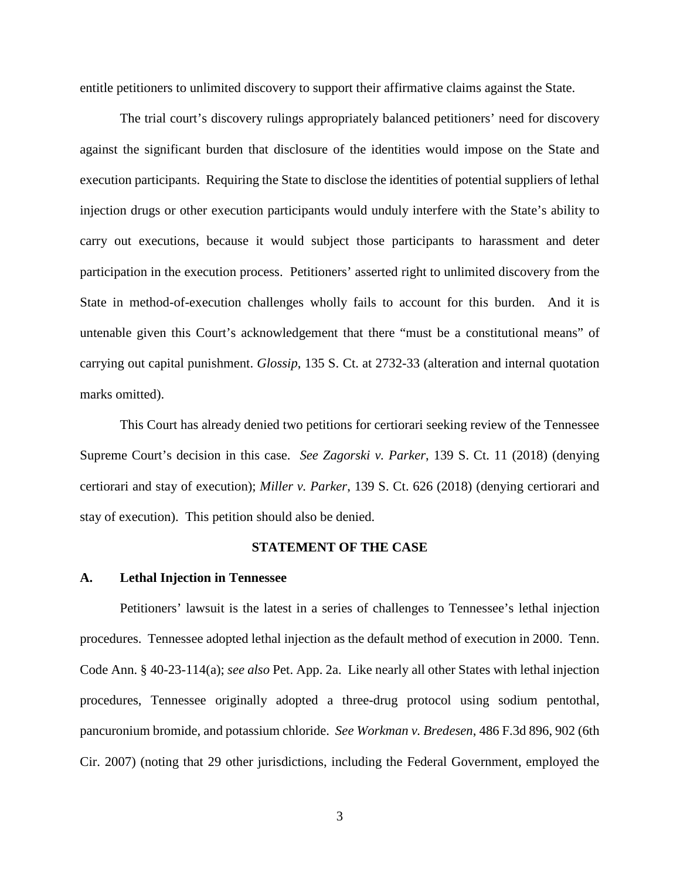entitle petitioners to unlimited discovery to support their affirmative claims against the State.

The trial court's discovery rulings appropriately balanced petitioners' need for discovery against the significant burden that disclosure of the identities would impose on the State and execution participants. Requiring the State to disclose the identities of potential suppliers of lethal injection drugs or other execution participants would unduly interfere with the State's ability to carry out executions, because it would subject those participants to harassment and deter participation in the execution process. Petitioners' asserted right to unlimited discovery from the State in method-of-execution challenges wholly fails to account for this burden. And it is untenable given this Court's acknowledgement that there "must be a constitutional means" of carrying out capital punishment. *Glossip*, 135 S. Ct. at 2732-33 (alteration and internal quotation marks omitted).

This Court has already denied two petitions for certiorari seeking review of the Tennessee Supreme Court's decision in this case. *See Zagorski v. Parker*, 139 S. Ct. 11 (2018) (denying certiorari and stay of execution); *Miller v. Parker*, 139 S. Ct. 626 (2018) (denying certiorari and stay of execution). This petition should also be denied.

#### <span id="page-10-5"></span><span id="page-10-4"></span><span id="page-10-3"></span><span id="page-10-2"></span>**STATEMENT OF THE CASE**

#### <span id="page-10-1"></span><span id="page-10-0"></span>**A. Lethal Injection in Tennessee**

Petitioners' lawsuit is the latest in a series of challenges to Tennessee's lethal injection procedures. Tennessee adopted lethal injection as the default method of execution in 2000. Tenn. Code Ann. § 40-23-114(a); *see also* Pet. App. 2a. Like nearly all other States with lethal injection procedures, Tennessee originally adopted a three-drug protocol using sodium pentothal, pancuronium bromide, and potassium chloride. *See Workman v. Bredesen*, 486 F.3d 896, 902 (6th Cir. 2007) (noting that 29 other jurisdictions, including the Federal Government, employed the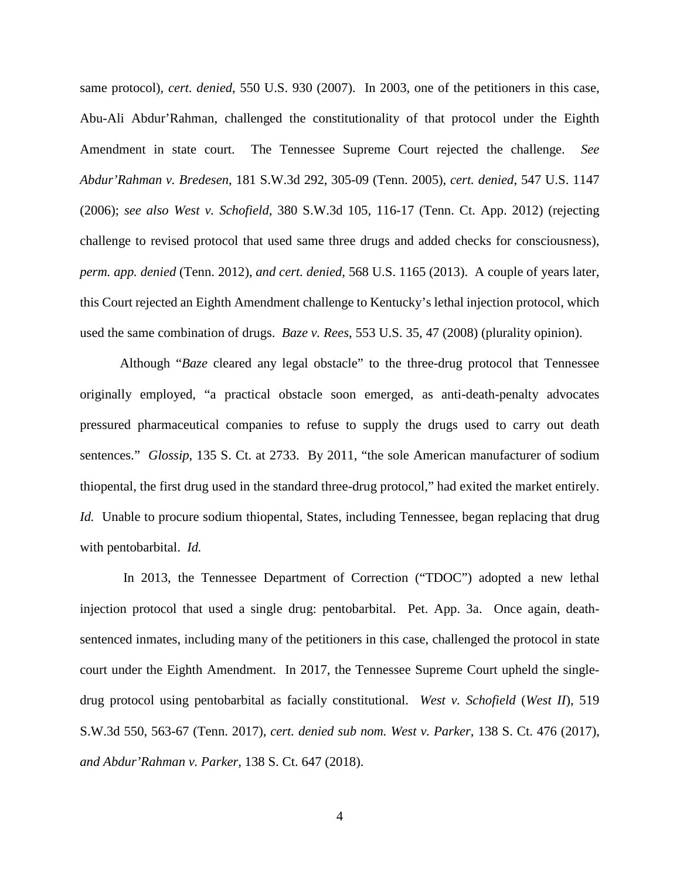<span id="page-11-2"></span><span id="page-11-0"></span>same protocol), *cert. denied*, 550 U.S. 930 (2007). In 2003, one of the petitioners in this case, Abu-Ali Abdur'Rahman, challenged the constitutionality of that protocol under the Eighth Amendment in state court. The Tennessee Supreme Court rejected the challenge. *See Abdur'Rahman v. Bredesen*, 181 S.W.3d 292, 305-09 (Tenn. 2005), *cert. denied*, 547 U.S. 1147 (2006); *see also West v. Schofield*, 380 S.W.3d 105, 116-17 (Tenn. Ct. App. 2012) (rejecting challenge to revised protocol that used same three drugs and added checks for consciousness), *perm. app. denied* (Tenn. 2012), *and cert. denied*, 568 U.S. 1165 (2013). A couple of years later, this Court rejected an Eighth Amendment challenge to Kentucky's lethal injection protocol, which used the same combination of drugs. *Baze v. Rees*, 553 U.S. 35, 47 (2008) (plurality opinion).

<span id="page-11-1"></span>Although "*Baze* cleared any legal obstacle" to the three-drug protocol that Tennessee originally employed, "a practical obstacle soon emerged, as anti-death-penalty advocates pressured pharmaceutical companies to refuse to supply the drugs used to carry out death sentences." *Glossip*, 135 S. Ct. at 2733. By 2011, "the sole American manufacturer of sodium thiopental, the first drug used in the standard three-drug protocol," had exited the market entirely. *Id.* Unable to procure sodium thiopental, States, including Tennessee, began replacing that drug with pentobarbital. *Id.* 

<span id="page-11-3"></span>In 2013, the Tennessee Department of Correction ("TDOC") adopted a new lethal injection protocol that used a single drug: pentobarbital. Pet. App. 3a. Once again, deathsentenced inmates, including many of the petitioners in this case, challenged the protocol in state court under the Eighth Amendment. In 2017, the Tennessee Supreme Court upheld the singledrug protocol using pentobarbital as facially constitutional. *West v. Schofield* (*West II*), 519 S.W.3d 550, 563-67 (Tenn. 2017), *cert. denied sub nom. West v. Parker*, 138 S. Ct. 476 (2017), *and Abdur'Rahman v. Parker*, 138 S. Ct. 647 (2018).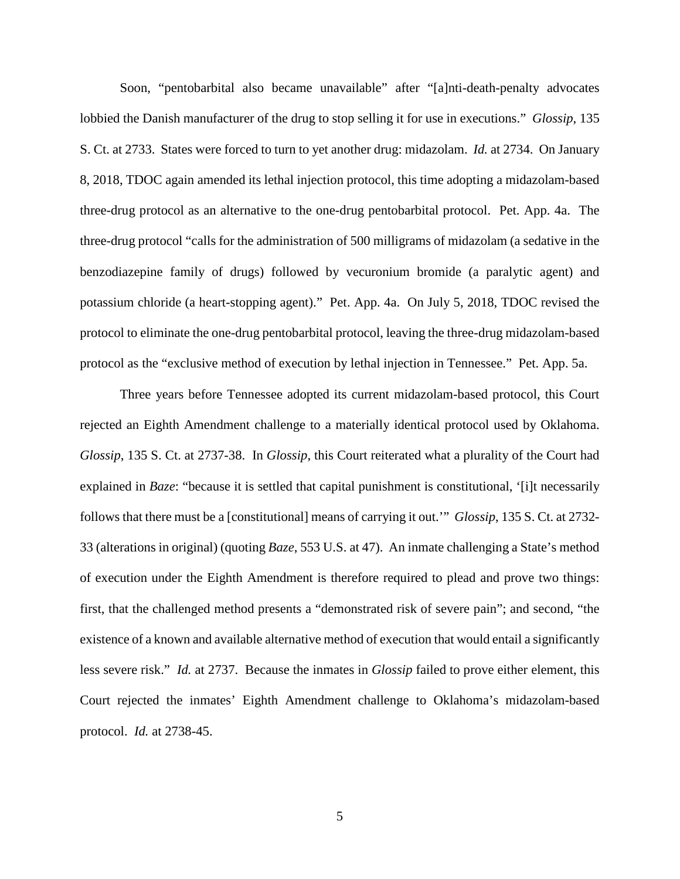Soon, "pentobarbital also became unavailable" after "[a]nti-death-penalty advocates lobbied the Danish manufacturer of the drug to stop selling it for use in executions." *Glossip*, 135 S. Ct. at 2733. States were forced to turn to yet another drug: midazolam. *Id.* at 2734. On January 8, 2018, TDOC again amended its lethal injection protocol, this time adopting a midazolam-based three-drug protocol as an alternative to the one-drug pentobarbital protocol. Pet. App. 4a. The three-drug protocol "calls for the administration of 500 milligrams of midazolam (a sedative in the benzodiazepine family of drugs) followed by vecuronium bromide (a paralytic agent) and potassium chloride (a heart-stopping agent)." Pet. App. 4a. On July 5, 2018, TDOC revised the protocol to eliminate the one-drug pentobarbital protocol, leaving the three-drug midazolam-based protocol as the "exclusive method of execution by lethal injection in Tennessee." Pet. App. 5a.

<span id="page-12-0"></span>Three years before Tennessee adopted its current midazolam-based protocol, this Court rejected an Eighth Amendment challenge to a materially identical protocol used by Oklahoma. *Glossip*, 135 S. Ct. at 2737-38. In *Glossip*, this Court reiterated what a plurality of the Court had explained in *Baze*: "because it is settled that capital punishment is constitutional, '[i]t necessarily follows that there must be a [constitutional] means of carrying it out.'" *Glossip*, 135 S. Ct. at 2732- 33 (alterations in original) (quoting *Baze*, 553 U.S. at 47). An inmate challenging a State's method of execution under the Eighth Amendment is therefore required to plead and prove two things: first, that the challenged method presents a "demonstrated risk of severe pain"; and second, "the existence of a known and available alternative method of execution that would entail a significantly less severe risk." *Id.* at 2737. Because the inmates in *Glossip* failed to prove either element, this Court rejected the inmates' Eighth Amendment challenge to Oklahoma's midazolam-based protocol. *Id.* at 2738-45.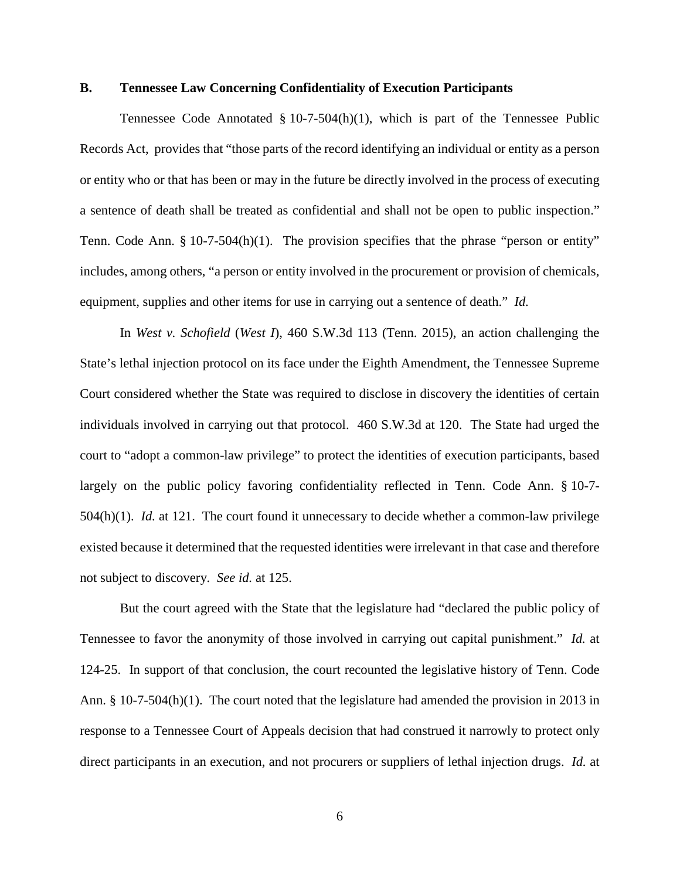### <span id="page-13-0"></span>**B. Tennessee Law Concerning Confidentiality of Execution Participants**

<span id="page-13-2"></span>Tennessee Code Annotated  $\S 10$ -7-504(h)(1), which is part of the Tennessee Public Records Act, provides that "those parts of the record identifying an individual or entity as a person or entity who or that has been or may in the future be directly involved in the process of executing a sentence of death shall be treated as confidential and shall not be open to public inspection." Tenn. Code Ann. § 10-7-504(h)(1). The provision specifies that the phrase "person or entity" includes, among others, "a person or entity involved in the procurement or provision of chemicals, equipment, supplies and other items for use in carrying out a sentence of death." *Id.*

<span id="page-13-1"></span>In *West v. Schofield* (*West I*), 460 S.W.3d 113 (Tenn. 2015), an action challenging the State's lethal injection protocol on its face under the Eighth Amendment, the Tennessee Supreme Court considered whether the State was required to disclose in discovery the identities of certain individuals involved in carrying out that protocol. 460 S.W.3d at 120. The State had urged the court to "adopt a common-law privilege" to protect the identities of execution participants, based largely on the public policy favoring confidentiality reflected in Tenn. Code Ann. § 10-7- 504(h)(1). *Id.* at 121. The court found it unnecessary to decide whether a common-law privilege existed because it determined that the requested identities were irrelevant in that case and therefore not subject to discovery. *See id.* at 125.

But the court agreed with the State that the legislature had "declared the public policy of Tennessee to favor the anonymity of those involved in carrying out capital punishment." *Id.* at 124-25. In support of that conclusion, the court recounted the legislative history of Tenn. Code Ann. § 10-7-504(h)(1). The court noted that the legislature had amended the provision in 2013 in response to a Tennessee Court of Appeals decision that had construed it narrowly to protect only direct participants in an execution, and not procurers or suppliers of lethal injection drugs. *Id.* at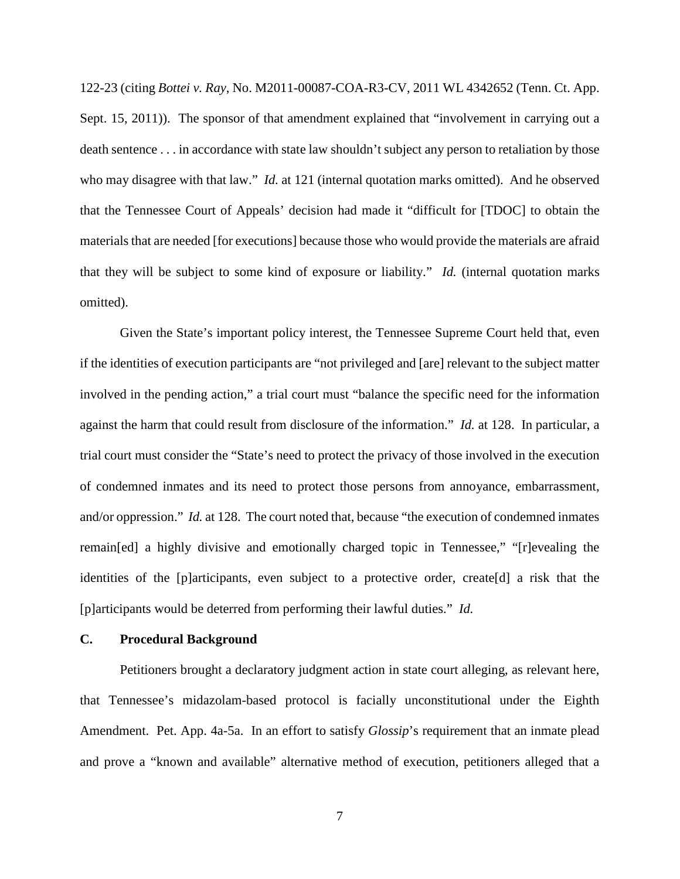<span id="page-14-1"></span>122-23 (citing *Bottei v. Ray*, No. M2011-00087-COA-R3-CV, 2011 WL 4342652 (Tenn. Ct. App. Sept. 15, 2011)). The sponsor of that amendment explained that "involvement in carrying out a death sentence . . . in accordance with state law shouldn't subject any person to retaliation by those who may disagree with that law." *Id.* at 121 (internal quotation marks omitted). And he observed that the Tennessee Court of Appeals' decision had made it "difficult for [TDOC] to obtain the materials that are needed [for executions] because those who would provide the materials are afraid that they will be subject to some kind of exposure or liability." *Id.* (internal quotation marks omitted).

Given the State's important policy interest, the Tennessee Supreme Court held that, even if the identities of execution participants are "not privileged and [are] relevant to the subject matter involved in the pending action," a trial court must "balance the specific need for the information against the harm that could result from disclosure of the information." *Id.* at 128. In particular, a trial court must consider the "State's need to protect the privacy of those involved in the execution of condemned inmates and its need to protect those persons from annoyance, embarrassment, and/or oppression." *Id.* at 128. The court noted that, because "the execution of condemned inmates remain[ed] a highly divisive and emotionally charged topic in Tennessee," "[r]evealing the identities of the [p]articipants, even subject to a protective order, create[d] a risk that the [p]articipants would be deterred from performing their lawful duties." *Id.*

#### <span id="page-14-0"></span>**C. Procedural Background**

Petitioners brought a declaratory judgment action in state court alleging, as relevant here, that Tennessee's midazolam-based protocol is facially unconstitutional under the Eighth Amendment. Pet. App. 4a-5a. In an effort to satisfy *Glossip*'s requirement that an inmate plead and prove a "known and available" alternative method of execution, petitioners alleged that a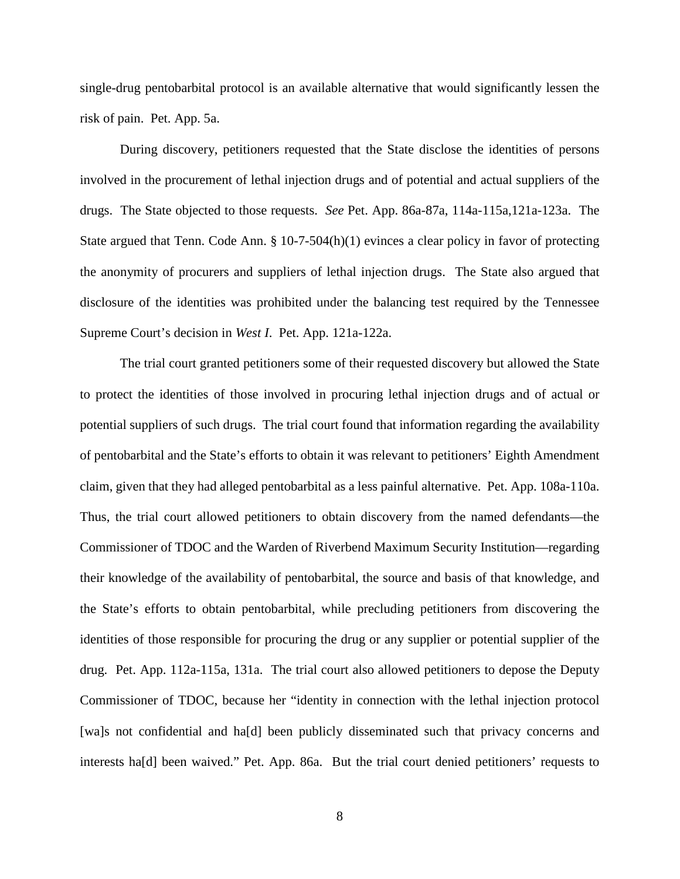single-drug pentobarbital protocol is an available alternative that would significantly lessen the risk of pain. Pet. App. 5a.

During discovery, petitioners requested that the State disclose the identities of persons involved in the procurement of lethal injection drugs and of potential and actual suppliers of the drugs. The State objected to those requests. *See* Pet. App. 86a-87a, 114a-115a,121a-123a. The State argued that Tenn. Code Ann. § 10-7-504(h)(1) evinces a clear policy in favor of protecting the anonymity of procurers and suppliers of lethal injection drugs. The State also argued that disclosure of the identities was prohibited under the balancing test required by the Tennessee Supreme Court's decision in *West I*. Pet. App. 121a-122a.

The trial court granted petitioners some of their requested discovery but allowed the State to protect the identities of those involved in procuring lethal injection drugs and of actual or potential suppliers of such drugs. The trial court found that information regarding the availability of pentobarbital and the State's efforts to obtain it was relevant to petitioners' Eighth Amendment claim, given that they had alleged pentobarbital as a less painful alternative. Pet. App. 108a-110a. Thus, the trial court allowed petitioners to obtain discovery from the named defendants—the Commissioner of TDOC and the Warden of Riverbend Maximum Security Institution—regarding their knowledge of the availability of pentobarbital, the source and basis of that knowledge, and the State's efforts to obtain pentobarbital, while precluding petitioners from discovering the identities of those responsible for procuring the drug or any supplier or potential supplier of the drug. Pet. App. 112a-115a, 131a. The trial court also allowed petitioners to depose the Deputy Commissioner of TDOC, because her "identity in connection with the lethal injection protocol [wa]s not confidential and ha[d] been publicly disseminated such that privacy concerns and interests ha[d] been waived." Pet. App. 86a. But the trial court denied petitioners' requests to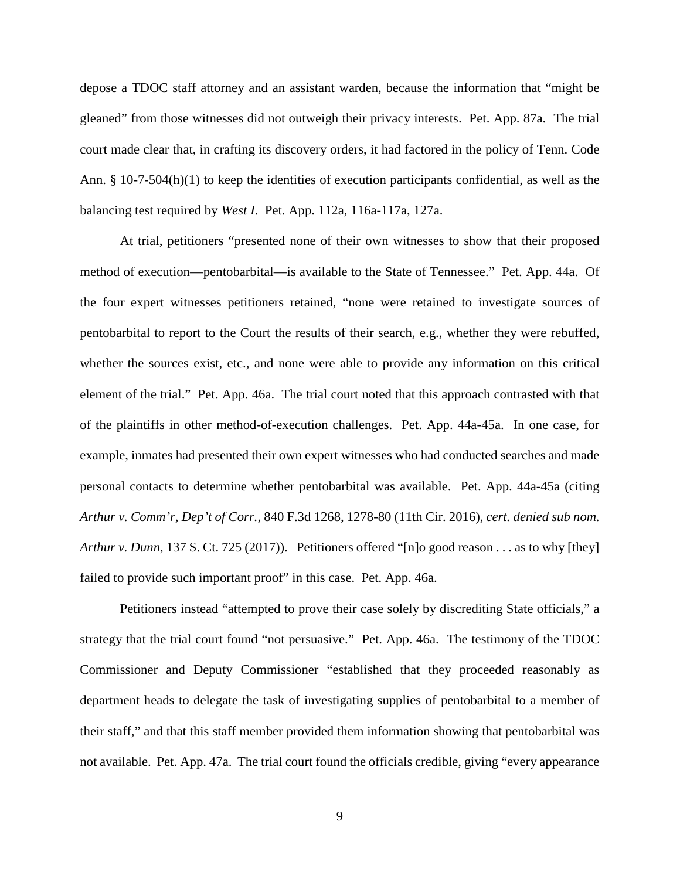depose a TDOC staff attorney and an assistant warden, because the information that "might be gleaned" from those witnesses did not outweigh their privacy interests. Pet. App. 87a. The trial court made clear that, in crafting its discovery orders, it had factored in the policy of Tenn. Code Ann. § 10-7-504(h)(1) to keep the identities of execution participants confidential, as well as the balancing test required by *West I*. Pet. App. 112a, 116a-117a, 127a.

At trial, petitioners "presented none of their own witnesses to show that their proposed method of execution—pentobarbital—is available to the State of Tennessee." Pet. App. 44a. Of the four expert witnesses petitioners retained, "none were retained to investigate sources of pentobarbital to report to the Court the results of their search, e.g., whether they were rebuffed, whether the sources exist, etc., and none were able to provide any information on this critical element of the trial." Pet. App. 46a. The trial court noted that this approach contrasted with that of the plaintiffs in other method-of-execution challenges. Pet. App. 44a-45a. In one case, for example, inmates had presented their own expert witnesses who had conducted searches and made personal contacts to determine whether pentobarbital was available. Pet. App. 44a-45a (citing *Arthur v. Comm'r, Dep't of Corr.*, 840 F.3d 1268, 1278-80 (11th Cir. 2016), *cert. denied sub nom. Arthur v. Dunn*, 137 S. Ct. 725 (2017)). Petitioners offered "[n]o good reason . . . as to why [they] failed to provide such important proof" in this case. Pet. App. 46a.

<span id="page-16-0"></span>Petitioners instead "attempted to prove their case solely by discrediting State officials," a strategy that the trial court found "not persuasive." Pet. App. 46a. The testimony of the TDOC Commissioner and Deputy Commissioner "established that they proceeded reasonably as department heads to delegate the task of investigating supplies of pentobarbital to a member of their staff," and that this staff member provided them information showing that pentobarbital was not available. Pet. App. 47a. The trial court found the officials credible, giving "every appearance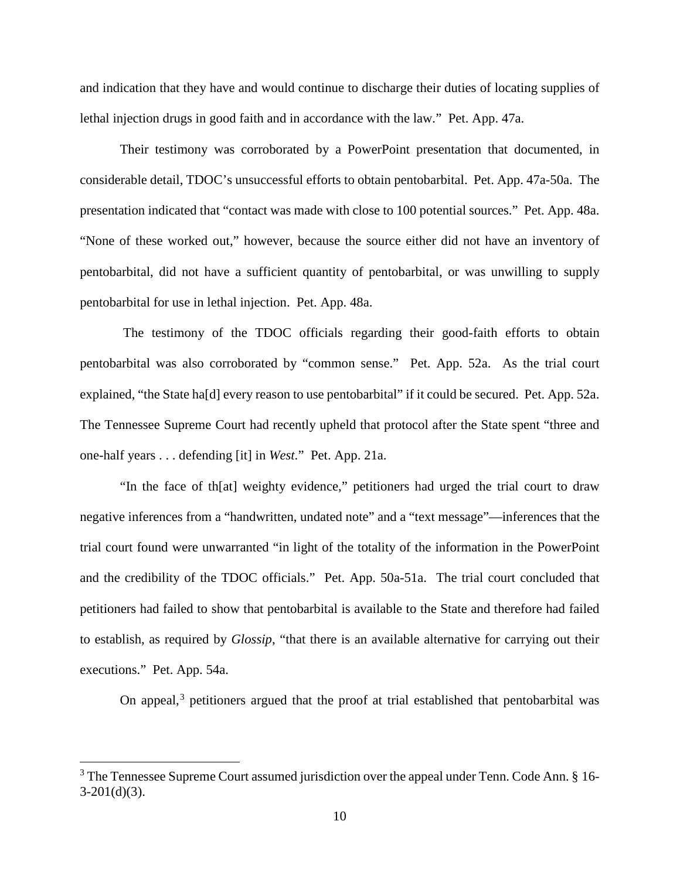and indication that they have and would continue to discharge their duties of locating supplies of lethal injection drugs in good faith and in accordance with the law." Pet. App. 47a.

Their testimony was corroborated by a PowerPoint presentation that documented, in considerable detail, TDOC's unsuccessful efforts to obtain pentobarbital. Pet. App. 47a-50a. The presentation indicated that "contact was made with close to 100 potential sources." Pet. App. 48a. "None of these worked out," however, because the source either did not have an inventory of pentobarbital, did not have a sufficient quantity of pentobarbital, or was unwilling to supply pentobarbital for use in lethal injection. Pet. App. 48a.

The testimony of the TDOC officials regarding their good-faith efforts to obtain pentobarbital was also corroborated by "common sense." Pet. App. 52a. As the trial court explained, "the State ha[d] every reason to use pentobarbital" if it could be secured. Pet. App. 52a. The Tennessee Supreme Court had recently upheld that protocol after the State spent "three and one-half years . . . defending [it] in *West*." Pet. App. 21a.

<span id="page-17-0"></span>"In the face of th[at] weighty evidence," petitioners had urged the trial court to draw negative inferences from a "handwritten, undated note" and a "text message"—inferences that the trial court found were unwarranted "in light of the totality of the information in the PowerPoint and the credibility of the TDOC officials." Pet. App. 50a-51a. The trial court concluded that petitioners had failed to show that pentobarbital is available to the State and therefore had failed to establish, as required by *Glossip*, "that there is an available alternative for carrying out their executions." Pet. App. 54a.

<span id="page-17-1"></span>On appeal, $3$  petitioners argued that the proof at trial established that pentobarbital was

<span id="page-17-2"></span> $3$  The Tennessee Supreme Court assumed jurisdiction over the appeal under Tenn. Code Ann. § 16- $3-201(d)(3)$ .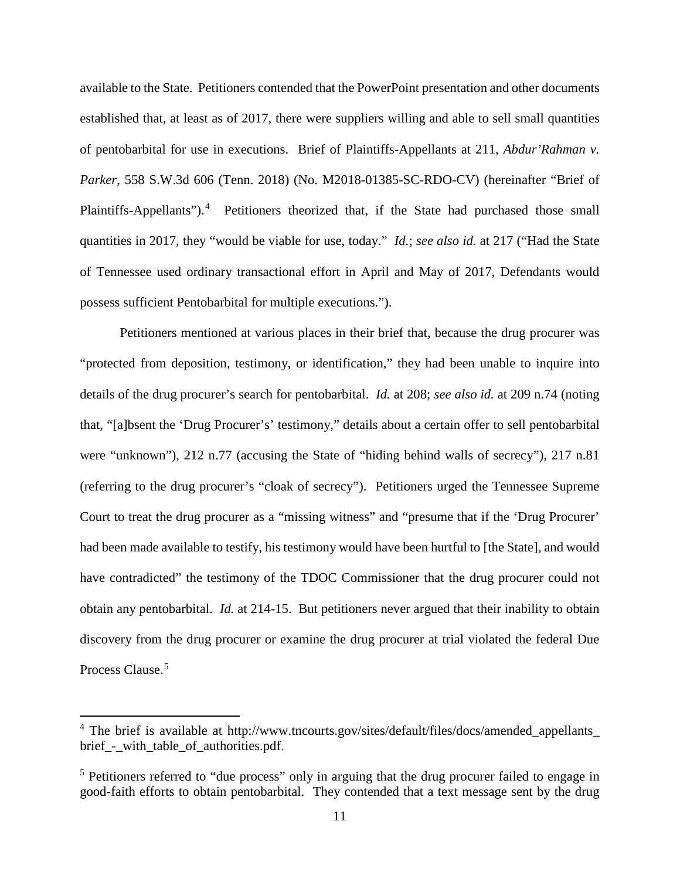available to the State. Petitioners contended that the PowerPoint presentation and other documents established that, at least as of 2017, there were suppliers willing and able to sell small quantities of pentobarbital for use in executions. Brief of Plaintiffs-Appellants at 211, *Abdur'Rahman v. Parker*, 558 S.W.3d 606 (Tenn. 2018) (No. M2018-01385-SC-RDO-CV) (hereinafter "Brief of Plaintiffs-Appellants").<sup>[4](#page-18-0)</sup> Petitioners theorized that, if the State had purchased those small quantities in 2017, they "would be viable for use, today." *Id.*; *see also id.* at 217 ("Had the State of Tennessee used ordinary transactional effort in April and May of 2017, Defendants would possess sufficient Pentobarbital for multiple executions.").

Petitioners mentioned at various places in their brief that, because the drug procurer was "protected from deposition, testimony, or identification," they had been unable to inquire into details of the drug procurer's search for pentobarbital. *Id.* at 208; *see also id.* at 209 n.74 (noting that, "[a]bsent the 'Drug Procurer's' testimony," details about a certain offer to sell pentobarbital were "unknown"), 212 n.77 (accusing the State of "hiding behind walls of secrecy"), 217 n.81 (referring to the drug procurer's "cloak of secrecy"). Petitioners urged the Tennessee Supreme Court to treat the drug procurer as a "missing witness" and "presume that if the 'Drug Procurer' had been made available to testify, his testimony would have been hurtful to [the State], and would have contradicted" the testimony of the TDOC Commissioner that the drug procurer could not obtain any pentobarbital. *Id.* at 214-15. But petitioners never argued that their inability to obtain discovery from the drug procurer or examine the drug procurer at trial violated the federal Due Process Clause.<sup>[5](#page-18-1)</sup>

<span id="page-18-0"></span><sup>&</sup>lt;sup>4</sup> The brief is available at http://www.tncourts.gov/sites/default/files/docs/amended\_appellants\_ brief - with table of authorities.pdf.

<span id="page-18-1"></span><sup>&</sup>lt;sup>5</sup> Petitioners referred to "due process" only in arguing that the drug procurer failed to engage in good-faith efforts to obtain pentobarbital. They contended that a text message sent by the drug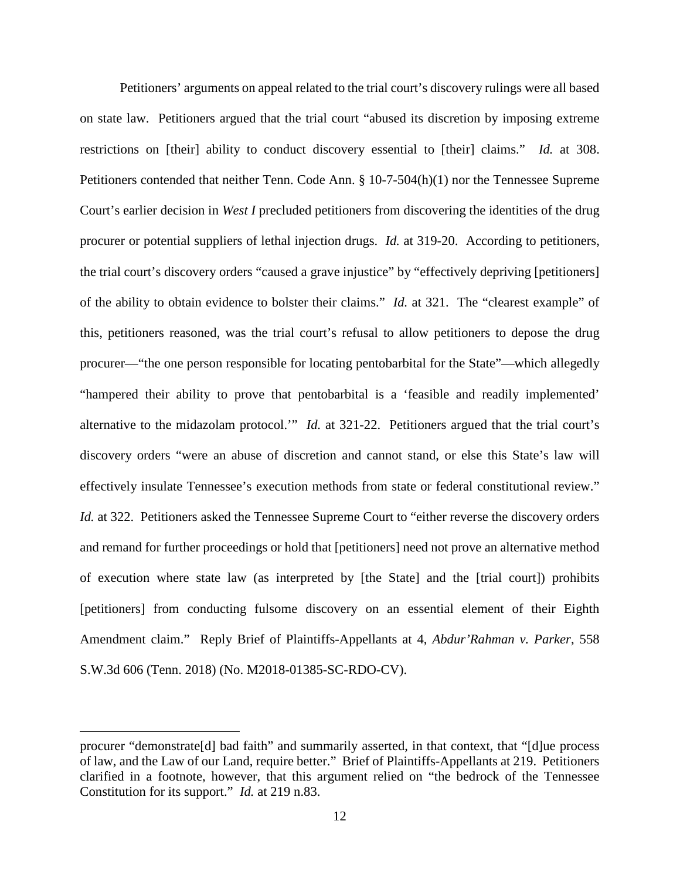Petitioners' arguments on appeal related to the trial court's discovery rulings were all based on state law. Petitioners argued that the trial court "abused its discretion by imposing extreme restrictions on [their] ability to conduct discovery essential to [their] claims." *Id.* at 308. Petitioners contended that neither Tenn. Code Ann. § 10-7-504(h)(1) nor the Tennessee Supreme Court's earlier decision in *West I* precluded petitioners from discovering the identities of the drug procurer or potential suppliers of lethal injection drugs. *Id.* at 319-20. According to petitioners, the trial court's discovery orders "caused a grave injustice" by "effectively depriving [petitioners] of the ability to obtain evidence to bolster their claims." *Id.* at 321. The "clearest example" of this, petitioners reasoned, was the trial court's refusal to allow petitioners to depose the drug procurer—"the one person responsible for locating pentobarbital for the State"—which allegedly "hampered their ability to prove that pentobarbital is a 'feasible and readily implemented' alternative to the midazolam protocol.'" *Id.* at 321-22. Petitioners argued that the trial court's discovery orders "were an abuse of discretion and cannot stand, or else this State's law will effectively insulate Tennessee's execution methods from state or federal constitutional review." *Id.* at 322. Petitioners asked the Tennessee Supreme Court to "either reverse the discovery orders" and remand for further proceedings or hold that [petitioners] need not prove an alternative method of execution where state law (as interpreted by [the State] and the [trial court]) prohibits [petitioners] from conducting fulsome discovery on an essential element of their Eighth Amendment claim." Reply Brief of Plaintiffs-Appellants at 4, *Abdur'Rahman v. Parker*, 558 S.W.3d 606 (Tenn. 2018) (No. M2018-01385-SC-RDO-CV).

procurer "demonstrate[d] bad faith" and summarily asserted, in that context, that "[d]ue process of law, and the Law of our Land, require better." Brief of Plaintiffs-Appellants at 219. Petitioners clarified in a footnote, however, that this argument relied on "the bedrock of the Tennessee Constitution for its support." *Id.* at 219 n.83.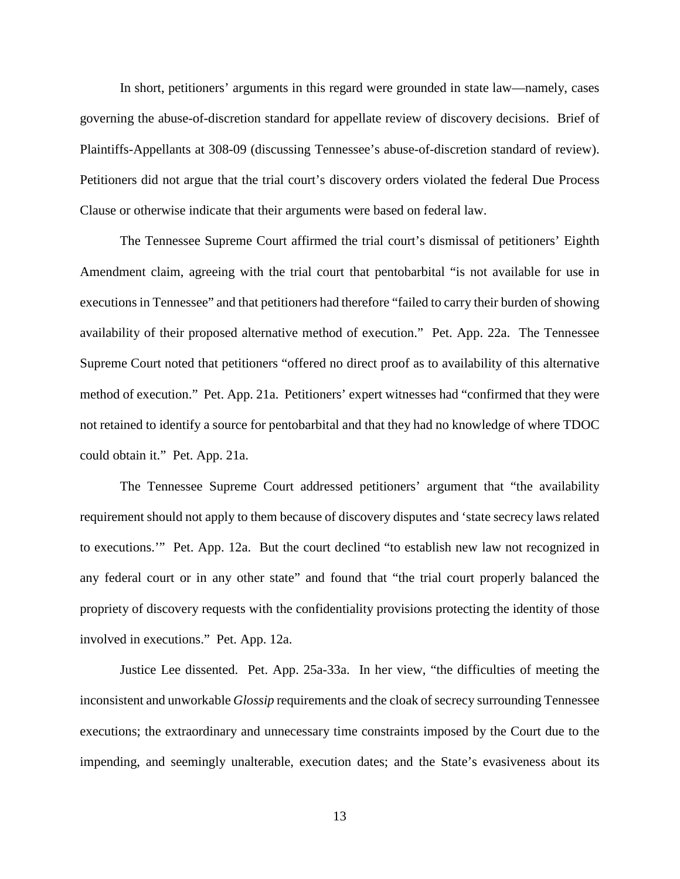In short, petitioners' arguments in this regard were grounded in state law—namely, cases governing the abuse-of-discretion standard for appellate review of discovery decisions. Brief of Plaintiffs-Appellants at 308-09 (discussing Tennessee's abuse-of-discretion standard of review). Petitioners did not argue that the trial court's discovery orders violated the federal Due Process Clause or otherwise indicate that their arguments were based on federal law.

The Tennessee Supreme Court affirmed the trial court's dismissal of petitioners' Eighth Amendment claim, agreeing with the trial court that pentobarbital "is not available for use in executions in Tennessee" and that petitioners had therefore "failed to carry their burden of showing availability of their proposed alternative method of execution." Pet. App. 22a. The Tennessee Supreme Court noted that petitioners "offered no direct proof as to availability of this alternative method of execution." Pet. App. 21a. Petitioners' expert witnesses had "confirmed that they were not retained to identify a source for pentobarbital and that they had no knowledge of where TDOC could obtain it." Pet. App. 21a.

The Tennessee Supreme Court addressed petitioners' argument that "the availability requirement should not apply to them because of discovery disputes and 'state secrecy laws related to executions.'" Pet. App. 12a. But the court declined "to establish new law not recognized in any federal court or in any other state" and found that "the trial court properly balanced the propriety of discovery requests with the confidentiality provisions protecting the identity of those involved in executions." Pet. App. 12a.

Justice Lee dissented. Pet. App. 25a-33a. In her view, "the difficulties of meeting the inconsistent and unworkable *Glossip* requirements and the cloak of secrecy surrounding Tennessee executions; the extraordinary and unnecessary time constraints imposed by the Court due to the impending, and seemingly unalterable, execution dates; and the State's evasiveness about its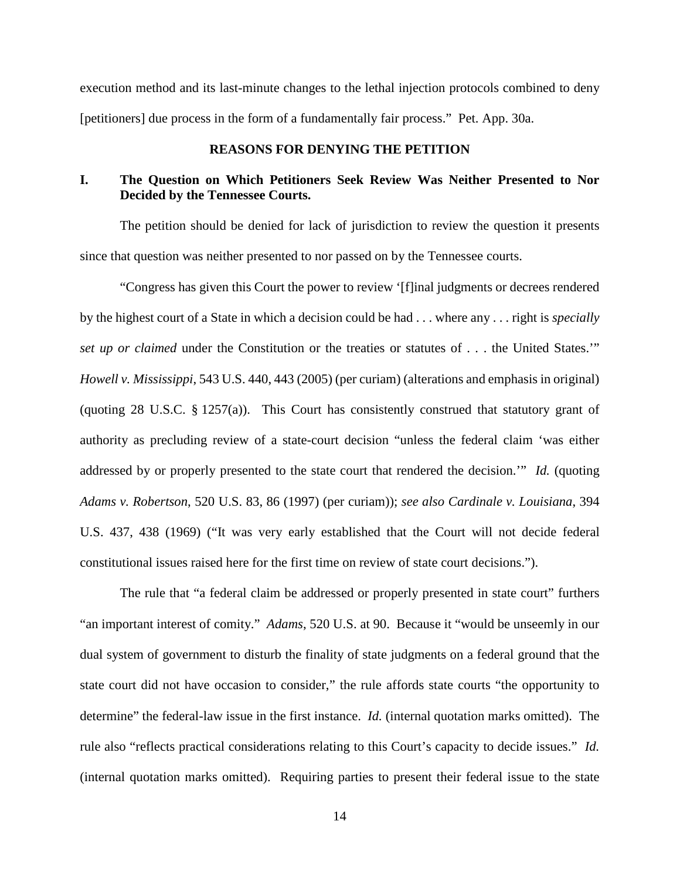execution method and its last-minute changes to the lethal injection protocols combined to deny [petitioners] due process in the form of a fundamentally fair process." Pet. App. 30a.

### **REASONS FOR DENYING THE PETITION**

## <span id="page-21-1"></span><span id="page-21-0"></span>**I. The Question on Which Petitioners Seek Review Was Neither Presented to Nor Decided by the Tennessee Courts.**

The petition should be denied for lack of jurisdiction to review the question it presents since that question was neither presented to nor passed on by the Tennessee courts.

<span id="page-21-5"></span><span id="page-21-4"></span>"Congress has given this Court the power to review '[f]inal judgments or decrees rendered by the highest court of a State in which a decision could be had . . . where any . . . right is *specially set up or claimed* under the Constitution or the treaties or statutes of . . . the United States.'" *Howell v. Mississippi*, 543 U.S. 440, 443 (2005) (per curiam) (alterations and emphasis in original) (quoting 28 U.S.C. § 1257(a)). This Court has consistently construed that statutory grant of authority as precluding review of a state-court decision "unless the federal claim 'was either addressed by or properly presented to the state court that rendered the decision.'" *Id.* (quoting *Adams v. Robertson*, 520 U.S. 83, 86 (1997) (per curiam)); *see also Cardinale v. Louisiana*, 394 U.S. 437, 438 (1969) ("It was very early established that the Court will not decide federal constitutional issues raised here for the first time on review of state court decisions.").

<span id="page-21-3"></span><span id="page-21-2"></span>The rule that "a federal claim be addressed or properly presented in state court" furthers "an important interest of comity." *Adams*, 520 U.S. at 90. Because it "would be unseemly in our dual system of government to disturb the finality of state judgments on a federal ground that the state court did not have occasion to consider," the rule affords state courts "the opportunity to determine" the federal-law issue in the first instance. *Id.* (internal quotation marks omitted). The rule also "reflects practical considerations relating to this Court's capacity to decide issues." *Id.* (internal quotation marks omitted). Requiring parties to present their federal issue to the state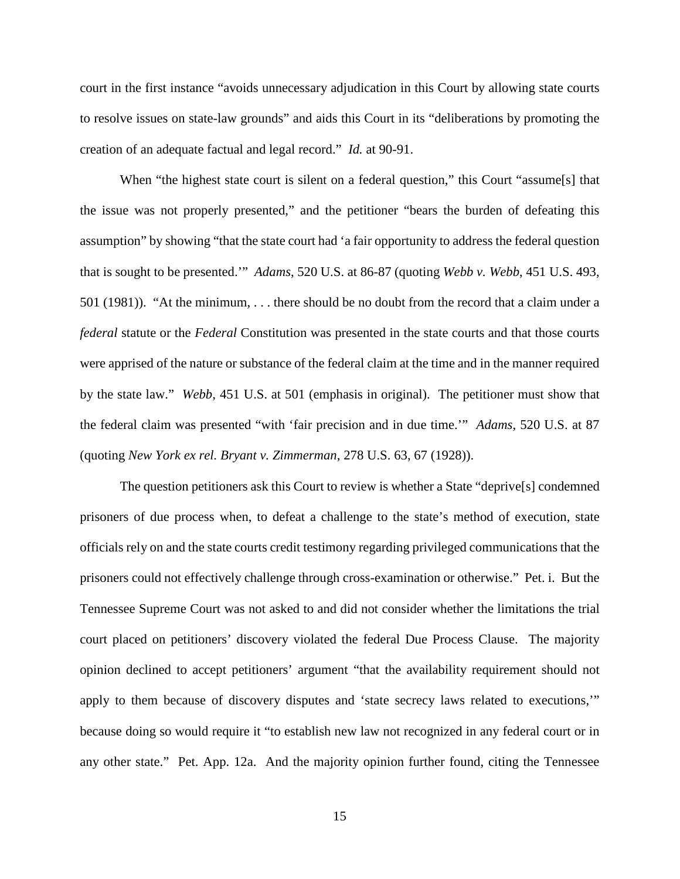court in the first instance "avoids unnecessary adjudication in this Court by allowing state courts to resolve issues on state-law grounds" and aids this Court in its "deliberations by promoting the creation of an adequate factual and legal record." *Id.* at 90-91.

<span id="page-22-2"></span><span id="page-22-0"></span>When "the highest state court is silent on a federal question," this Court "assume[s] that the issue was not properly presented," and the petitioner "bears the burden of defeating this assumption" by showing "that the state court had 'a fair opportunity to address the federal question that is sought to be presented.'" *Adams*, 520 U.S. at 86-87 (quoting *Webb v. Webb*, 451 U.S. 493, 501 (1981)). "At the minimum, . . . there should be no doubt from the record that a claim under a *federal* statute or the *Federal* Constitution was presented in the state courts and that those courts were apprised of the nature or substance of the federal claim at the time and in the manner required by the state law." *Webb*, 451 U.S. at 501 (emphasis in original). The petitioner must show that the federal claim was presented "with 'fair precision and in due time.'" *Adams*, 520 U.S. at 87 (quoting *New York ex rel. Bryant v. Zimmerman*, 278 U.S. 63, 67 (1928)).

<span id="page-22-1"></span>The question petitioners ask this Court to review is whether a State "deprive[s] condemned prisoners of due process when, to defeat a challenge to the state's method of execution, state officials rely on and the state courts credit testimony regarding privileged communications that the prisoners could not effectively challenge through cross-examination or otherwise." Pet. i. But the Tennessee Supreme Court was not asked to and did not consider whether the limitations the trial court placed on petitioners' discovery violated the federal Due Process Clause. The majority opinion declined to accept petitioners' argument "that the availability requirement should not apply to them because of discovery disputes and 'state secrecy laws related to executions,'" because doing so would require it "to establish new law not recognized in any federal court or in any other state." Pet. App. 12a. And the majority opinion further found, citing the Tennessee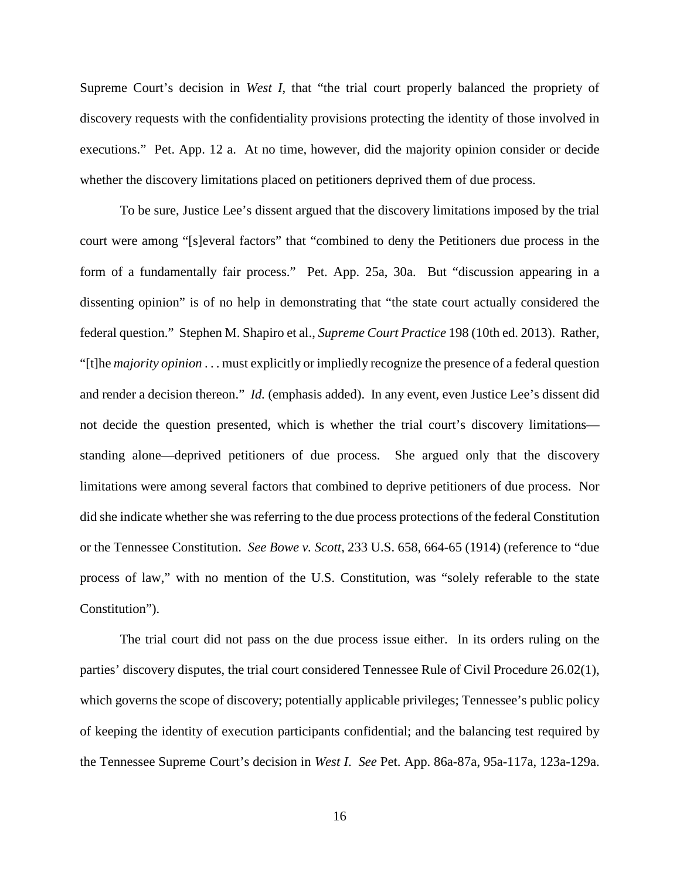Supreme Court's decision in *West I*, that "the trial court properly balanced the propriety of discovery requests with the confidentiality provisions protecting the identity of those involved in executions." Pet. App. 12 a. At no time, however, did the majority opinion consider or decide whether the discovery limitations placed on petitioners deprived them of due process.

<span id="page-23-2"></span>To be sure, Justice Lee's dissent argued that the discovery limitations imposed by the trial court were among "[s]everal factors" that "combined to deny the Petitioners due process in the form of a fundamentally fair process." Pet. App. 25a, 30a. But "discussion appearing in a dissenting opinion" is of no help in demonstrating that "the state court actually considered the federal question." Stephen M. Shapiro et al., *Supreme Court Practice* 198 (10th ed. 2013). Rather, "[t]he *majority opinion* . . . must explicitly or impliedly recognize the presence of a federal question and render a decision thereon." *Id.* (emphasis added). In any event, even Justice Lee's dissent did not decide the question presented, which is whether the trial court's discovery limitations standing alone—deprived petitioners of due process. She argued only that the discovery limitations were among several factors that combined to deprive petitioners of due process. Nor did she indicate whether she was referring to the due process protections of the federal Constitution or the Tennessee Constitution. *See Bowe v. Scott*, 233 U.S. 658, 664-65 (1914) (reference to "due process of law," with no mention of the U.S. Constitution, was "solely referable to the state Constitution").

<span id="page-23-1"></span><span id="page-23-0"></span>The trial court did not pass on the due process issue either. In its orders ruling on the parties' discovery disputes, the trial court considered Tennessee Rule of Civil Procedure 26.02(1), which governs the scope of discovery; potentially applicable privileges; Tennessee's public policy of keeping the identity of execution participants confidential; and the balancing test required by the Tennessee Supreme Court's decision in *West I*. *See* Pet. App. 86a-87a, 95a-117a, 123a-129a.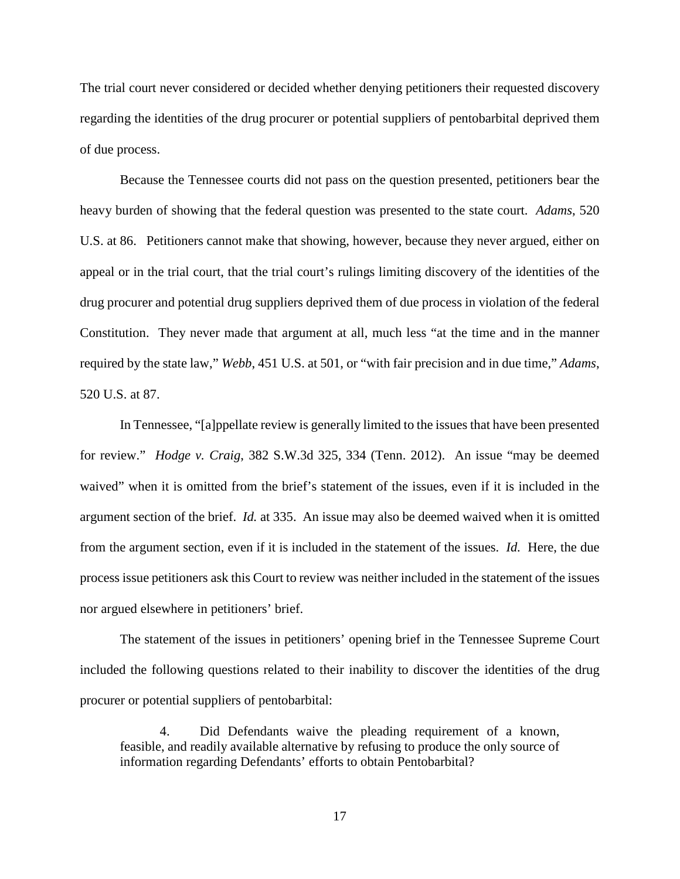The trial court never considered or decided whether denying petitioners their requested discovery regarding the identities of the drug procurer or potential suppliers of pentobarbital deprived them of due process.

<span id="page-24-0"></span>Because the Tennessee courts did not pass on the question presented, petitioners bear the heavy burden of showing that the federal question was presented to the state court. *Adams*, 520 U.S. at 86. Petitioners cannot make that showing, however, because they never argued, either on appeal or in the trial court, that the trial court's rulings limiting discovery of the identities of the drug procurer and potential drug suppliers deprived them of due process in violation of the federal Constitution. They never made that argument at all, much less "at the time and in the manner required by the state law," *Webb*, 451 U.S. at 501, or "with fair precision and in due time," *Adams*, 520 U.S. at 87.

<span id="page-24-2"></span><span id="page-24-1"></span>In Tennessee, "[a]ppellate review is generally limited to the issues that have been presented for review." *Hodge v. Craig*, 382 S.W.3d 325, 334 (Tenn. 2012). An issue "may be deemed waived" when it is omitted from the brief's statement of the issues, even if it is included in the argument section of the brief. *Id.* at 335. An issue may also be deemed waived when it is omitted from the argument section, even if it is included in the statement of the issues. *Id.* Here, the due process issue petitioners ask this Court to review was neither included in the statement of the issues nor argued elsewhere in petitioners' brief.

The statement of the issues in petitioners' opening brief in the Tennessee Supreme Court included the following questions related to their inability to discover the identities of the drug procurer or potential suppliers of pentobarbital:

4. Did Defendants waive the pleading requirement of a known, feasible, and readily available alternative by refusing to produce the only source of information regarding Defendants' efforts to obtain Pentobarbital?

17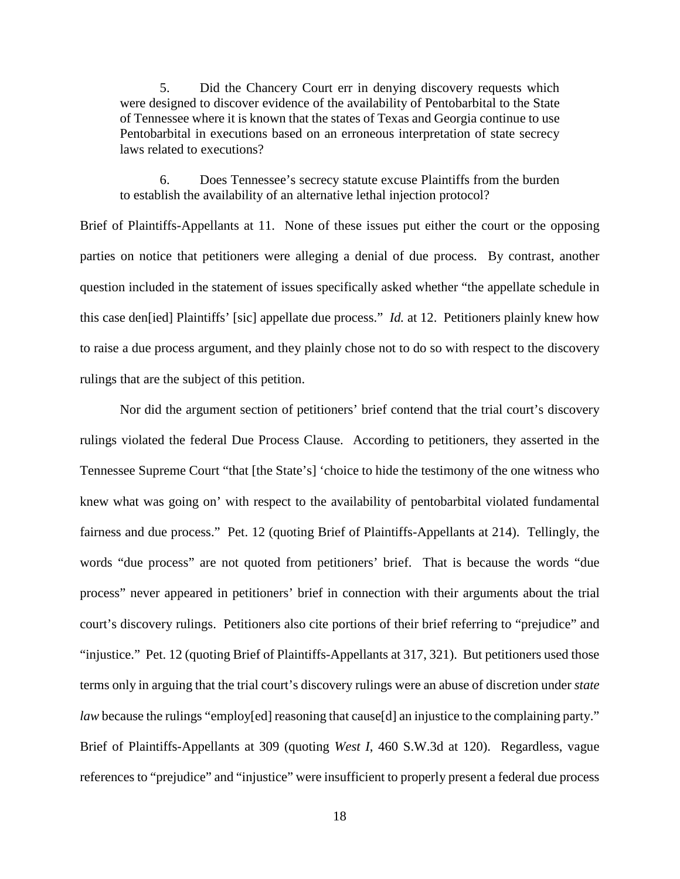5. Did the Chancery Court err in denying discovery requests which were designed to discover evidence of the availability of Pentobarbital to the State of Tennessee where it is known that the states of Texas and Georgia continue to use Pentobarbital in executions based on an erroneous interpretation of state secrecy laws related to executions?

6. Does Tennessee's secrecy statute excuse Plaintiffs from the burden to establish the availability of an alternative lethal injection protocol?

Brief of Plaintiffs-Appellants at 11. None of these issues put either the court or the opposing parties on notice that petitioners were alleging a denial of due process. By contrast, another question included in the statement of issues specifically asked whether "the appellate schedule in this case den[ied] Plaintiffs' [sic] appellate due process." *Id.* at 12. Petitioners plainly knew how to raise a due process argument, and they plainly chose not to do so with respect to the discovery rulings that are the subject of this petition.

Nor did the argument section of petitioners' brief contend that the trial court's discovery rulings violated the federal Due Process Clause. According to petitioners, they asserted in the Tennessee Supreme Court "that [the State's] 'choice to hide the testimony of the one witness who knew what was going on' with respect to the availability of pentobarbital violated fundamental fairness and due process." Pet. 12 (quoting Brief of Plaintiffs-Appellants at 214). Tellingly, the words "due process" are not quoted from petitioners' brief. That is because the words "due process" never appeared in petitioners' brief in connection with their arguments about the trial court's discovery rulings. Petitioners also cite portions of their brief referring to "prejudice" and "injustice." Pet. 12 (quoting Brief of Plaintiffs-Appellants at 317, 321). But petitioners used those terms only in arguing that the trial court's discovery rulings were an abuse of discretion under *state law* because the rulings "employ[ed] reasoning that cause[d] an injustice to the complaining party." Brief of Plaintiffs-Appellants at 309 (quoting *West I*, 460 S.W.3d at 120). Regardless, vague references to "prejudice" and "injustice" were insufficient to properly present a federal due process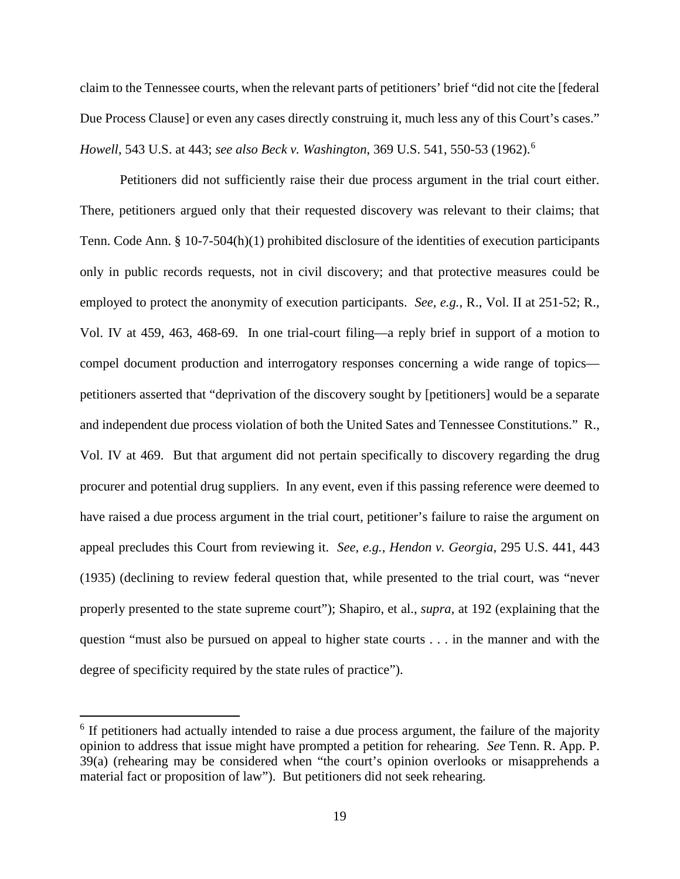claim to the Tennessee courts, when the relevant parts of petitioners' brief "did not cite the [federal Due Process Clause] or even any cases directly construing it, much less any of this Court's cases." *Howell*, 543 U.S. at 443; *see also Beck v. Washington*, 369 U.S. 541, 550-53 (1962).[6](#page-26-4)

<span id="page-26-2"></span><span id="page-26-0"></span>Petitioners did not sufficiently raise their due process argument in the trial court either. There, petitioners argued only that their requested discovery was relevant to their claims; that Tenn. Code Ann. § 10-7-504(h)(1) prohibited disclosure of the identities of execution participants only in public records requests, not in civil discovery; and that protective measures could be employed to protect the anonymity of execution participants. *See, e.g.*, R., Vol. II at 251-52; R., Vol. IV at 459, 463, 468-69. In one trial-court filing—a reply brief in support of a motion to compel document production and interrogatory responses concerning a wide range of topics petitioners asserted that "deprivation of the discovery sought by [petitioners] would be a separate and independent due process violation of both the United Sates and Tennessee Constitutions." R., Vol. IV at 469. But that argument did not pertain specifically to discovery regarding the drug procurer and potential drug suppliers. In any event, even if this passing reference were deemed to have raised a due process argument in the trial court, petitioner's failure to raise the argument on appeal precludes this Court from reviewing it. *See, e.g.*, *Hendon v. Georgia*, 295 U.S. 441, 443 (1935) (declining to review federal question that, while presented to the trial court, was "never properly presented to the state supreme court"); Shapiro, et al., *supra*, at 192 (explaining that the question "must also be pursued on appeal to higher state courts . . . in the manner and with the degree of specificity required by the state rules of practice").

<span id="page-26-4"></span><span id="page-26-3"></span><span id="page-26-1"></span><sup>&</sup>lt;sup>6</sup> If petitioners had actually intended to raise a due process argument, the failure of the majority opinion to address that issue might have prompted a petition for rehearing. *See* Tenn. R. App. P. 39(a) (rehearing may be considered when "the court's opinion overlooks or misapprehends a material fact or proposition of law"). But petitioners did not seek rehearing.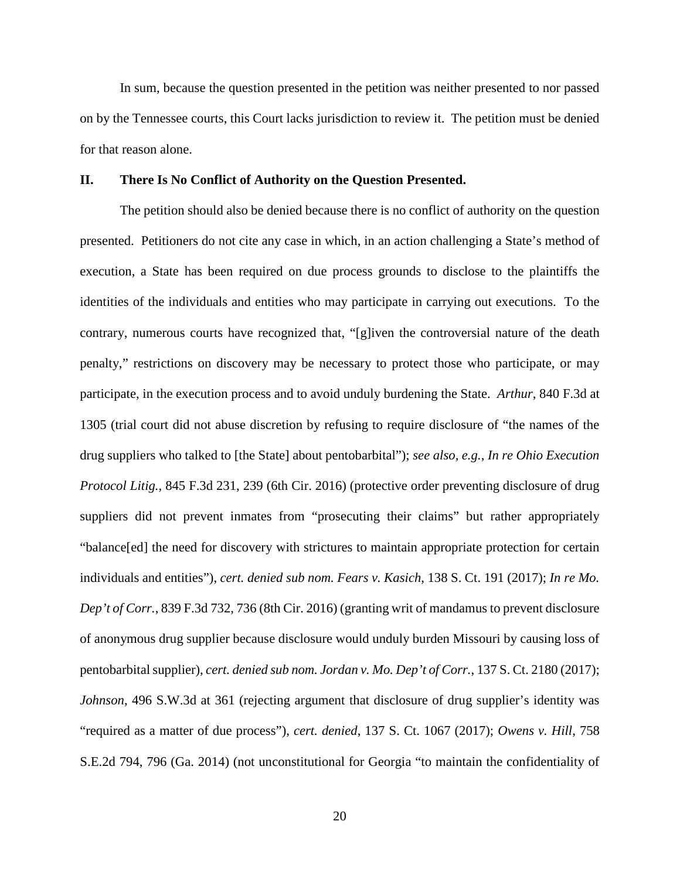In sum, because the question presented in the petition was neither presented to nor passed on by the Tennessee courts, this Court lacks jurisdiction to review it. The petition must be denied for that reason alone.

#### <span id="page-27-0"></span>**II. There Is No Conflict of Authority on the Question Presented.**

<span id="page-27-4"></span><span id="page-27-3"></span><span id="page-27-2"></span><span id="page-27-1"></span>The petition should also be denied because there is no conflict of authority on the question presented. Petitioners do not cite any case in which, in an action challenging a State's method of execution, a State has been required on due process grounds to disclose to the plaintiffs the identities of the individuals and entities who may participate in carrying out executions. To the contrary, numerous courts have recognized that, "[g]iven the controversial nature of the death penalty," restrictions on discovery may be necessary to protect those who participate, or may participate, in the execution process and to avoid unduly burdening the State. *Arthur*, 840 F.3d at 1305 (trial court did not abuse discretion by refusing to require disclosure of "the names of the drug suppliers who talked to [the State] about pentobarbital"); *see also, e.g.*, *In re Ohio Execution Protocol Litig.*, 845 F.3d 231, 239 (6th Cir. 2016) (protective order preventing disclosure of drug suppliers did not prevent inmates from "prosecuting their claims" but rather appropriately "balance[ed] the need for discovery with strictures to maintain appropriate protection for certain individuals and entities"), *cert. denied sub nom. Fears v. Kasich*, 138 S. Ct. 191 (2017); *In re Mo. Dep't of Corr.*, 839 F.3d 732, 736 (8th Cir. 2016) (granting writ of mandamus to prevent disclosure of anonymous drug supplier because disclosure would unduly burden Missouri by causing loss of pentobarbital supplier), *cert. denied sub nom. Jordan v. Mo. Dep't of Corr.*, 137 S. Ct. 2180 (2017); *Johnson*, 496 S.W.3d at 361 (rejecting argument that disclosure of drug supplier's identity was "required as a matter of due process"), *cert. denied*, 137 S. Ct. 1067 (2017); *Owens v. Hill*, 758 S.E.2d 794, 796 (Ga. 2014) (not unconstitutional for Georgia "to maintain the confidentiality of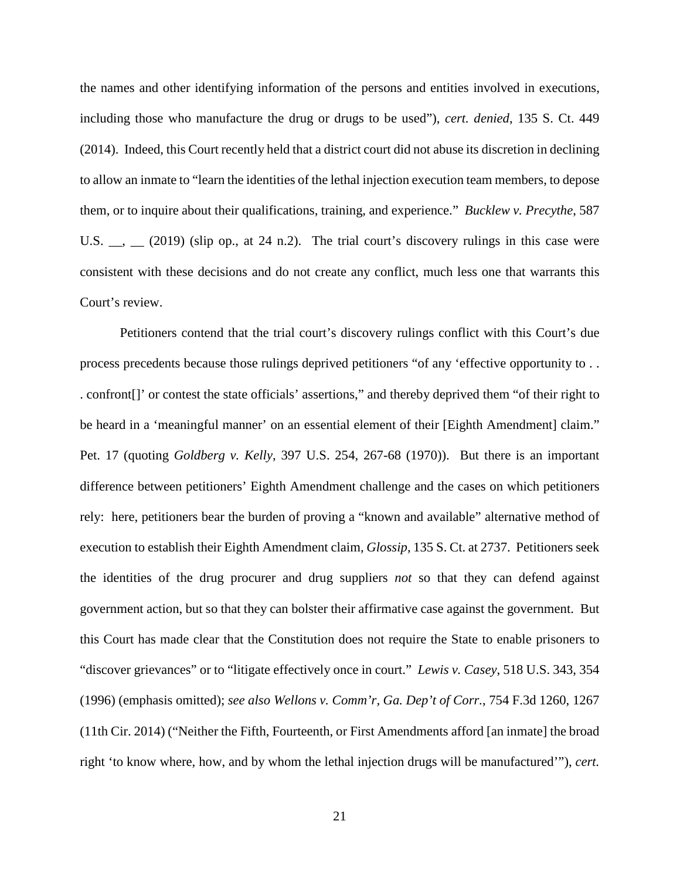<span id="page-28-0"></span>the names and other identifying information of the persons and entities involved in executions, including those who manufacture the drug or drugs to be used"), *cert. denied*, 135 S. Ct. 449 (2014). Indeed, this Court recently held that a district court did not abuse its discretion in declining to allow an inmate to "learn the identities of the lethal injection execution team members, to depose them, or to inquire about their qualifications, training, and experience." *Bucklew v. Precythe*, 587 U.S.  $\_\_$ ,  $\_\_$  (2019) (slip op., at 24 n.2). The trial court's discovery rulings in this case were consistent with these decisions and do not create any conflict, much less one that warrants this Court's review.

<span id="page-28-3"></span><span id="page-28-2"></span><span id="page-28-1"></span>Petitioners contend that the trial court's discovery rulings conflict with this Court's due process precedents because those rulings deprived petitioners "of any 'effective opportunity to . . . confront[]' or contest the state officials' assertions," and thereby deprived them "of their right to be heard in a 'meaningful manner' on an essential element of their [Eighth Amendment] claim." Pet. 17 (quoting *Goldberg v. Kelly*, 397 U.S. 254, 267-68 (1970)). But there is an important difference between petitioners' Eighth Amendment challenge and the cases on which petitioners rely: here, petitioners bear the burden of proving a "known and available" alternative method of execution to establish their Eighth Amendment claim, *Glossip*, 135 S. Ct. at 2737. Petitioners seek the identities of the drug procurer and drug suppliers *not* so that they can defend against government action, but so that they can bolster their affirmative case against the government. But this Court has made clear that the Constitution does not require the State to enable prisoners to "discover grievances" or to "litigate effectively once in court." *Lewis v. Casey*, 518 U.S. 343, 354 (1996) (emphasis omitted); *see also Wellons v. Comm'r, Ga. Dep't of Corr.*, 754 F.3d 1260, 1267 (11th Cir. 2014) ("Neither the Fifth, Fourteenth, or First Amendments afford [an inmate] the broad right 'to know where, how, and by whom the lethal injection drugs will be manufactured'"), *cert.*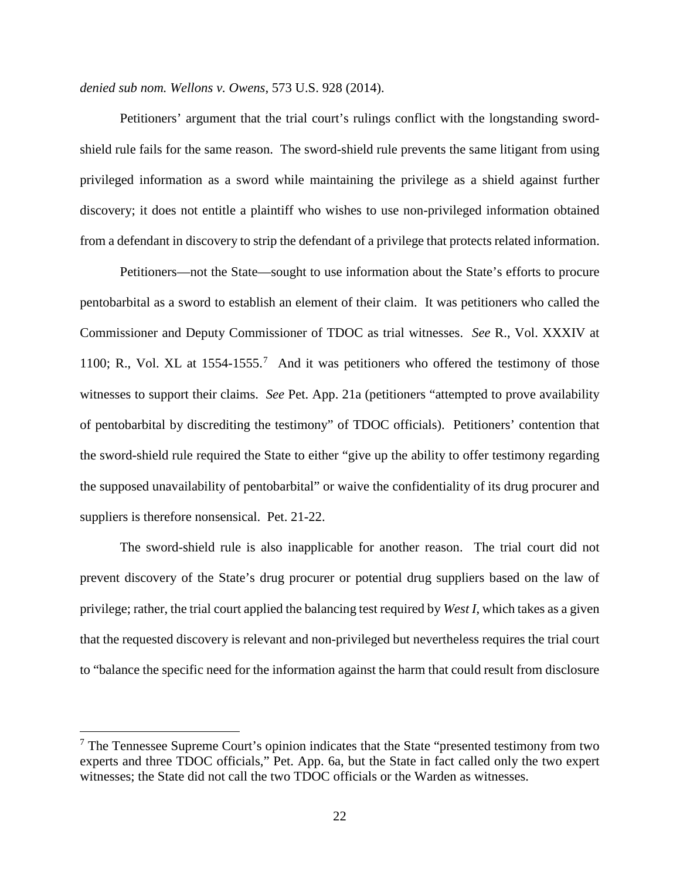*denied sub nom. Wellons v. Owens*, 573 U.S. 928 (2014).

Petitioners' argument that the trial court's rulings conflict with the longstanding swordshield rule fails for the same reason. The sword-shield rule prevents the same litigant from using privileged information as a sword while maintaining the privilege as a shield against further discovery; it does not entitle a plaintiff who wishes to use non-privileged information obtained from a defendant in discovery to strip the defendant of a privilege that protects related information.

Petitioners—not the State—sought to use information about the State's efforts to procure pentobarbital as a sword to establish an element of their claim. It was petitioners who called the Commissioner and Deputy Commissioner of TDOC as trial witnesses. *See* R., Vol. XXXIV at 1100; R., Vol. XL at  $1554-1555$ .<sup>[7](#page-29-0)</sup> And it was petitioners who offered the testimony of those witnesses to support their claims. *See* Pet. App. 21a (petitioners "attempted to prove availability of pentobarbital by discrediting the testimony" of TDOC officials). Petitioners' contention that the sword-shield rule required the State to either "give up the ability to offer testimony regarding the supposed unavailability of pentobarbital" or waive the confidentiality of its drug procurer and suppliers is therefore nonsensical. Pet. 21-22.

The sword-shield rule is also inapplicable for another reason. The trial court did not prevent discovery of the State's drug procurer or potential drug suppliers based on the law of privilege; rather, the trial court applied the balancing test required by *West I*, which takes as a given that the requested discovery is relevant and non-privileged but nevertheless requires the trial court to "balance the specific need for the information against the harm that could result from disclosure

<span id="page-29-0"></span> $<sup>7</sup>$  The Tennessee Supreme Court's opinion indicates that the State "presented testimony from two</sup> experts and three TDOC officials," Pet. App. 6a, but the State in fact called only the two expert witnesses; the State did not call the two TDOC officials or the Warden as witnesses.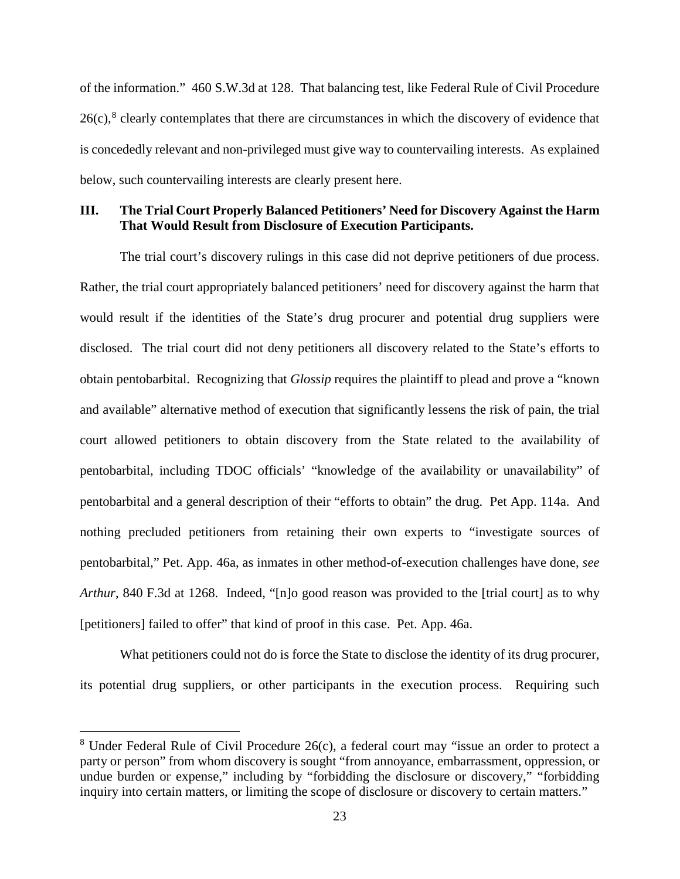<span id="page-30-2"></span>of the information." 460 S.W.3d at 128. That balancing test, like Federal Rule of Civil Procedure  $26(c)$ ,<sup>[8](#page-30-4)</sup> clearly contemplates that there are circumstances in which the discovery of evidence that is concededly relevant and non-privileged must give way to countervailing interests. As explained below, such countervailing interests are clearly present here.

### <span id="page-30-0"></span>**III. The Trial Court Properly Balanced Petitioners' Need for Discovery Against the Harm That Would Result from Disclosure of Execution Participants.**

The trial court's discovery rulings in this case did not deprive petitioners of due process. Rather, the trial court appropriately balanced petitioners' need for discovery against the harm that would result if the identities of the State's drug procurer and potential drug suppliers were disclosed. The trial court did not deny petitioners all discovery related to the State's efforts to obtain pentobarbital. Recognizing that *Glossip* requires the plaintiff to plead and prove a "known and available" alternative method of execution that significantly lessens the risk of pain, the trial court allowed petitioners to obtain discovery from the State related to the availability of pentobarbital, including TDOC officials' "knowledge of the availability or unavailability" of pentobarbital and a general description of their "efforts to obtain" the drug. Pet App. 114a. And nothing precluded petitioners from retaining their own experts to "investigate sources of pentobarbital," Pet. App. 46a, as inmates in other method-of-execution challenges have done, *see Arthur*, 840 F.3d at 1268. Indeed, "[n]o good reason was provided to the [trial court] as to why [petitioners] failed to offer" that kind of proof in this case. Pet. App. 46a.

<span id="page-30-1"></span>What petitioners could not do is force the State to disclose the identity of its drug procurer, its potential drug suppliers, or other participants in the execution process. Requiring such

<span id="page-30-4"></span><span id="page-30-3"></span> $8$  Under Federal Rule of Civil Procedure 26(c), a federal court may "issue an order to protect a party or person" from whom discovery is sought "from annoyance, embarrassment, oppression, or undue burden or expense," including by "forbidding the disclosure or discovery," "forbidding inquiry into certain matters, or limiting the scope of disclosure or discovery to certain matters."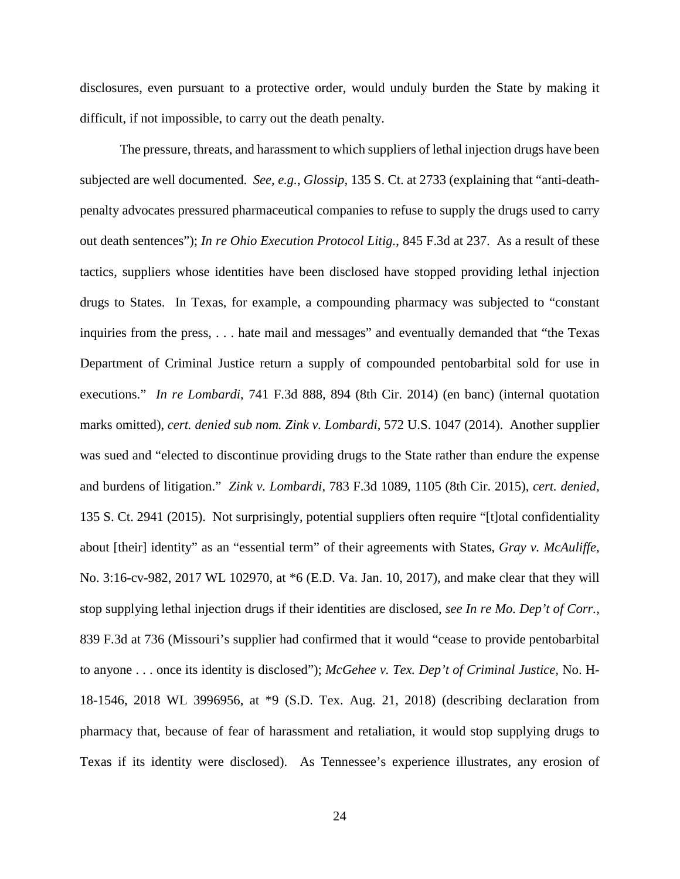disclosures, even pursuant to a protective order, would unduly burden the State by making it difficult, if not impossible, to carry out the death penalty.

<span id="page-31-5"></span><span id="page-31-4"></span><span id="page-31-3"></span><span id="page-31-2"></span><span id="page-31-1"></span><span id="page-31-0"></span>The pressure, threats, and harassment to which suppliers of lethal injection drugs have been subjected are well documented. *See, e.g.*, *Glossip*, 135 S. Ct. at 2733 (explaining that "anti-deathpenalty advocates pressured pharmaceutical companies to refuse to supply the drugs used to carry out death sentences"); *In re Ohio Execution Protocol Litig.*, 845 F.3d at 237. As a result of these tactics, suppliers whose identities have been disclosed have stopped providing lethal injection drugs to States. In Texas, for example, a compounding pharmacy was subjected to "constant inquiries from the press, . . . hate mail and messages" and eventually demanded that "the Texas Department of Criminal Justice return a supply of compounded pentobarbital sold for use in executions." *In re Lombardi*, 741 F.3d 888, 894 (8th Cir. 2014) (en banc) (internal quotation marks omitted), *cert. denied sub nom. Zink v. Lombardi*, 572 U.S. 1047 (2014). Another supplier was sued and "elected to discontinue providing drugs to the State rather than endure the expense and burdens of litigation." *Zink v. Lombardi*, 783 F.3d 1089, 1105 (8th Cir. 2015), *cert. denied*, 135 S. Ct. 2941 (2015). Not surprisingly, potential suppliers often require "[t]otal confidentiality about [their] identity" as an "essential term" of their agreements with States, *Gray v. McAuliffe*, No. 3:16-cv-982, 2017 WL 102970, at \*6 (E.D. Va. Jan. 10, 2017), and make clear that they will stop supplying lethal injection drugs if their identities are disclosed, *see In re Mo. Dep't of Corr.*, 839 F.3d at 736 (Missouri's supplier had confirmed that it would "cease to provide pentobarbital to anyone . . . once its identity is disclosed"); *McGehee v. Tex. Dep't of Criminal Justice*, No. H-18-1546, 2018 WL 3996956, at \*9 (S.D. Tex. Aug. 21, 2018) (describing declaration from pharmacy that, because of fear of harassment and retaliation, it would stop supplying drugs to Texas if its identity were disclosed). As Tennessee's experience illustrates, any erosion of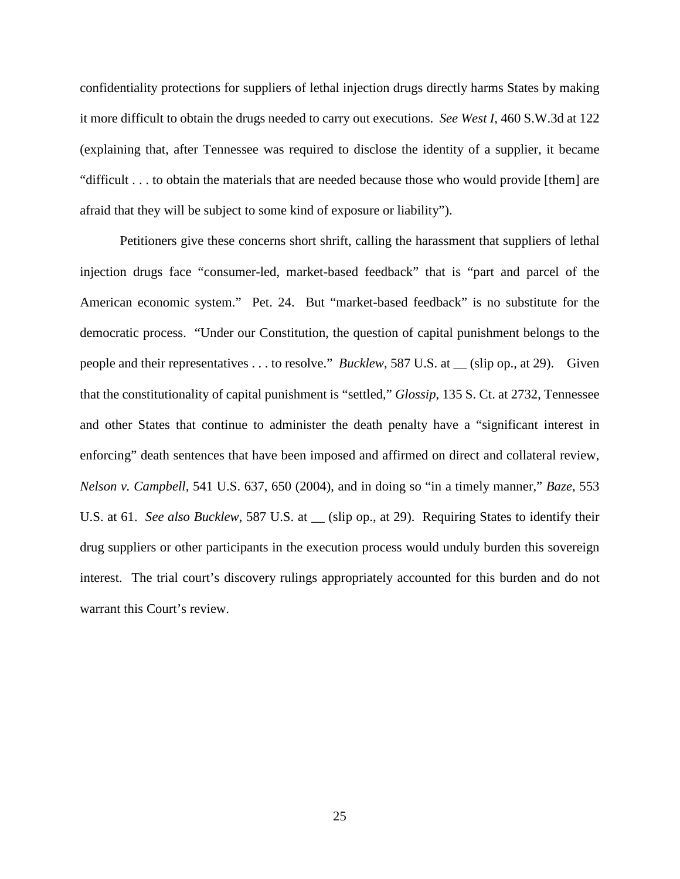confidentiality protections for suppliers of lethal injection drugs directly harms States by making it more difficult to obtain the drugs needed to carry out executions. *See West I*, 460 S.W.3d at 122 (explaining that, after Tennessee was required to disclose the identity of a supplier, it became "difficult . . . to obtain the materials that are needed because those who would provide [them] are afraid that they will be subject to some kind of exposure or liability").

<span id="page-32-2"></span><span id="page-32-1"></span><span id="page-32-0"></span>Petitioners give these concerns short shrift, calling the harassment that suppliers of lethal injection drugs face "consumer-led, market-based feedback" that is "part and parcel of the American economic system." Pet. 24. But "market-based feedback" is no substitute for the democratic process. "Under our Constitution, the question of capital punishment belongs to the people and their representatives . . . to resolve." *Bucklew*, 587 U.S. at \_\_ (slip op., at 29). Given that the constitutionality of capital punishment is "settled," *Glossip*, 135 S. Ct. at 2732, Tennessee and other States that continue to administer the death penalty have a "significant interest in enforcing" death sentences that have been imposed and affirmed on direct and collateral review, *Nelson v. Campbell*, 541 U.S. 637, 650 (2004), and in doing so "in a timely manner," *Baze*, 553 U.S. at 61. *See also Bucklew*, 587 U.S. at \_\_ (slip op., at 29). Requiring States to identify their drug suppliers or other participants in the execution process would unduly burden this sovereign interest. The trial court's discovery rulings appropriately accounted for this burden and do not warrant this Court's review.